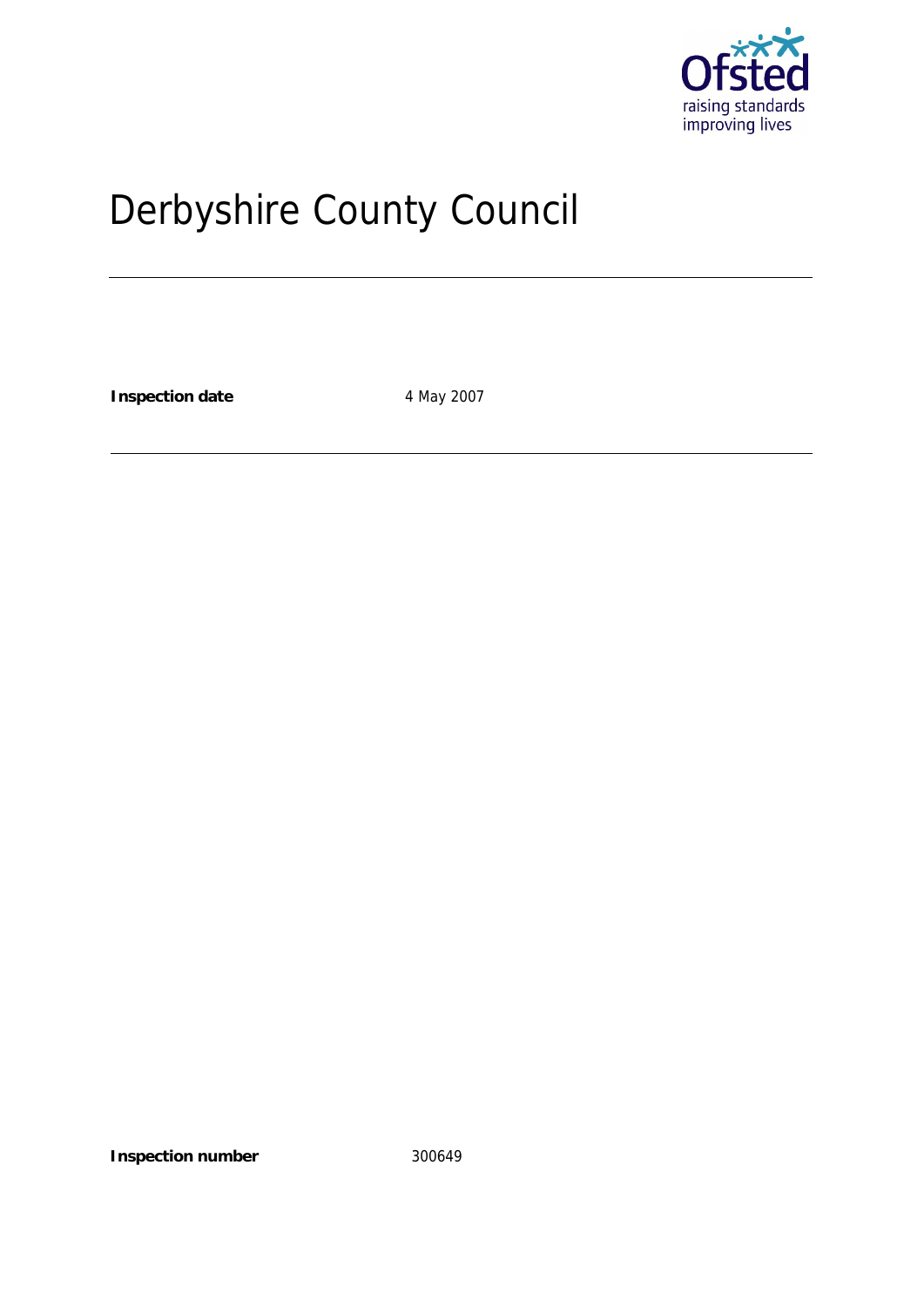

# Derbyshire County Council

**Inspection date** 4 May 2007

**Inspection number** 300649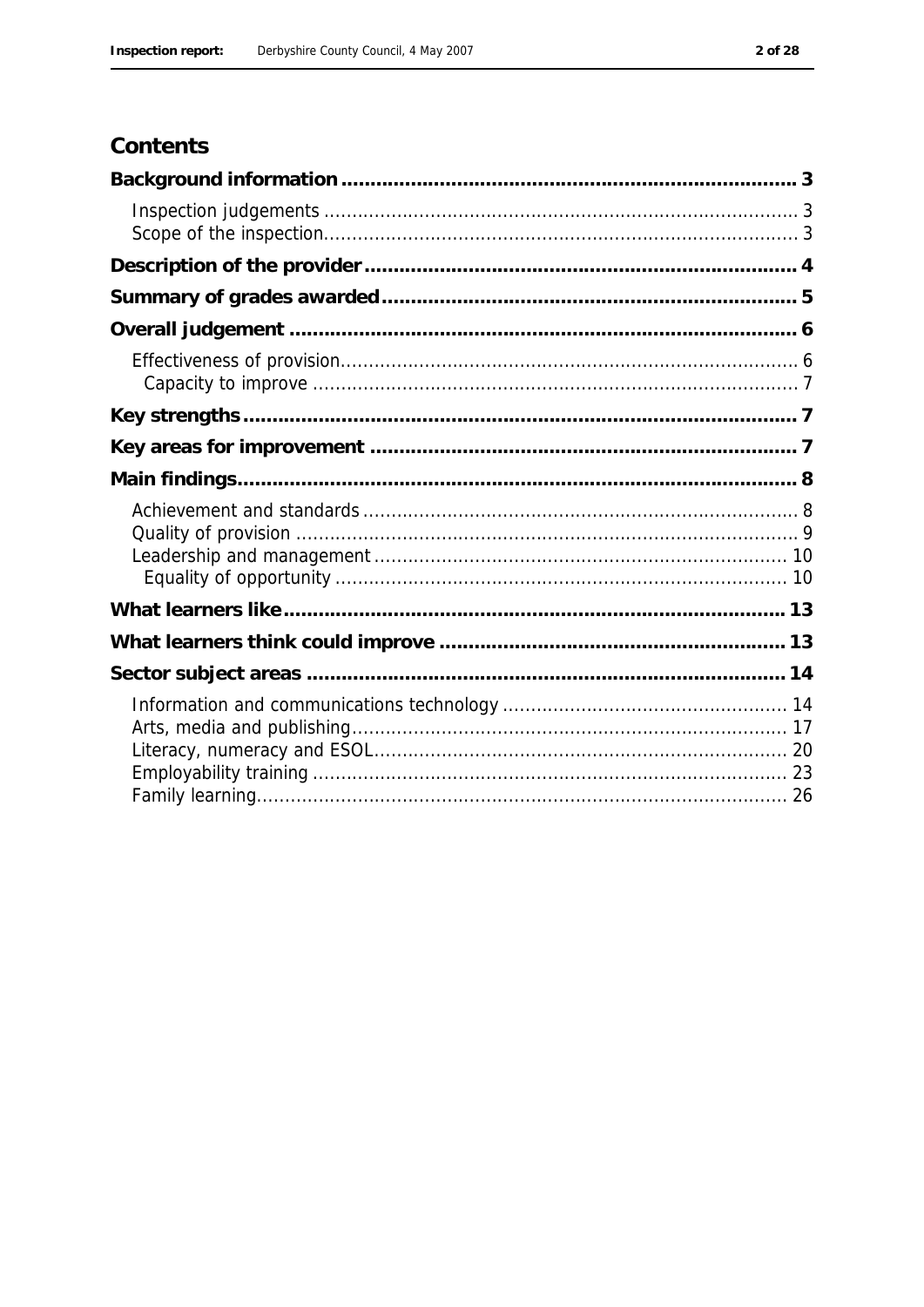# Contents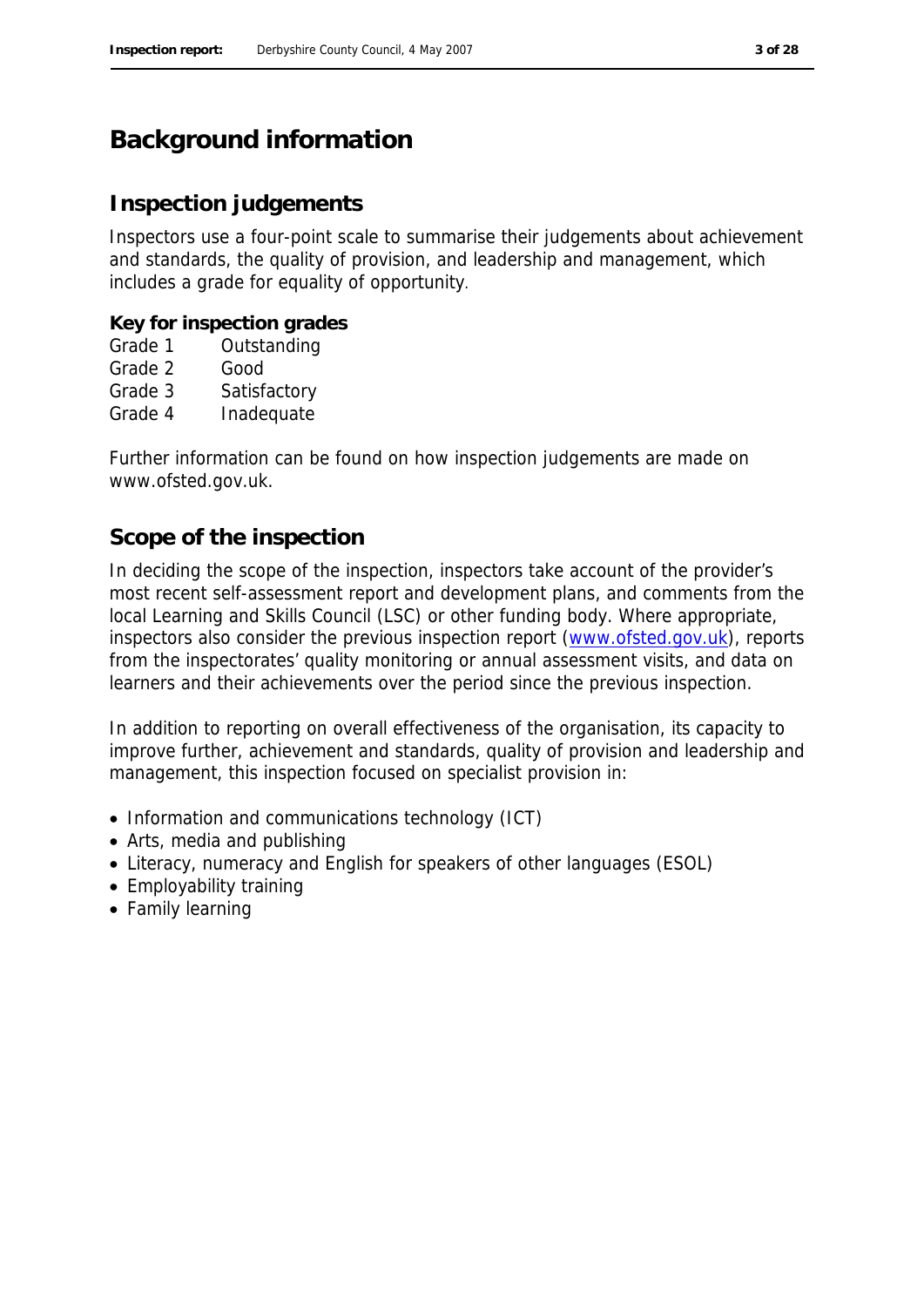# **Background information**

### **Inspection judgements**

Inspectors use a four-point scale to summarise their judgements about achievement and standards, the quality of provision, and leadership and management, which includes a grade for equality of opportunity.

**Key for inspection grades**

- Grade 1 Outstanding
- Grade 2 Good
- Grade 3 Satisfactory
- Grade 4 Inadequate

Further information can be found on how inspection judgements are made on www.ofsted.gov.uk.

### **Scope of the inspection**

In deciding the scope of the inspection, inspectors take account of the provider's most recent self-assessment report and development plans, and comments from the local Learning and Skills Council (LSC) or other funding body. Where appropriate, inspectors also consider the previous inspection report (www.ofsted.gov.uk), reports from the inspectorates' quality monitoring or annual assessment visits, and data on learners and their achievements over the period since the previous inspection.

In addition to reporting on overall effectiveness of the organisation, its capacity to improve further, achievement and standards, quality of provision and leadership and management, this inspection focused on specialist provision in:

- Information and communications technology (ICT)
- Arts, media and publishing
- Literacy, numeracy and English for speakers of other languages (ESOL)
- Employability training
- Family learning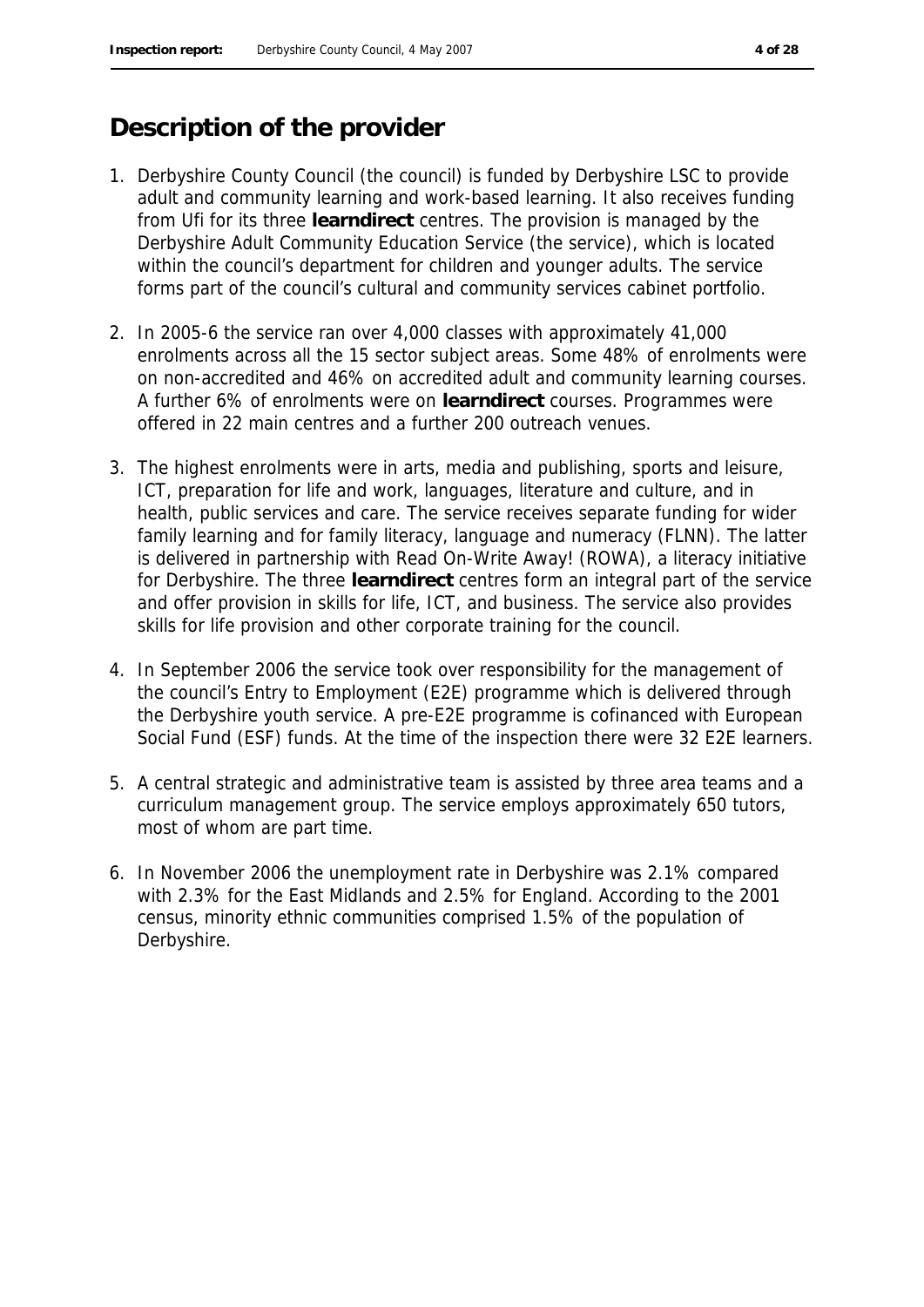# **Description of the provider**

- 1. Derbyshire County Council (the council) is funded by Derbyshire LSC to provide adult and community learning and work-based learning. It also receives funding from Ufi for its three **learndirect** centres. The provision is managed by the Derbyshire Adult Community Education Service (the service), which is located within the council's department for children and younger adults. The service forms part of the council's cultural and community services cabinet portfolio.
- 2. In 2005-6 the service ran over 4,000 classes with approximately 41,000 enrolments across all the 15 sector subject areas. Some 48% of enrolments were on non-accredited and 46% on accredited adult and community learning courses. A further 6% of enrolments were on **learndirect** courses. Programmes were offered in 22 main centres and a further 200 outreach venues.
- 3. The highest enrolments were in arts, media and publishing, sports and leisure, ICT, preparation for life and work, languages, literature and culture, and in health, public services and care. The service receives separate funding for wider family learning and for family literacy, language and numeracy (FLNN). The latter is delivered in partnership with Read On-Write Away! (ROWA), a literacy initiative for Derbyshire. The three **learndirect** centres form an integral part of the service and offer provision in skills for life, ICT, and business. The service also provides skills for life provision and other corporate training for the council.
- 4. In September 2006 the service took over responsibility for the management of the council's Entry to Employment (E2E) programme which is delivered through the Derbyshire youth service. A pre-E2E programme is cofinanced with European Social Fund (ESF) funds. At the time of the inspection there were 32 E2E learners.
- 5. A central strategic and administrative team is assisted by three area teams and a curriculum management group. The service employs approximately 650 tutors, most of whom are part time.
- 6. In November 2006 the unemployment rate in Derbyshire was 2.1% compared with 2.3% for the East Midlands and 2.5% for England. According to the 2001 census, minority ethnic communities comprised 1.5% of the population of Derbyshire.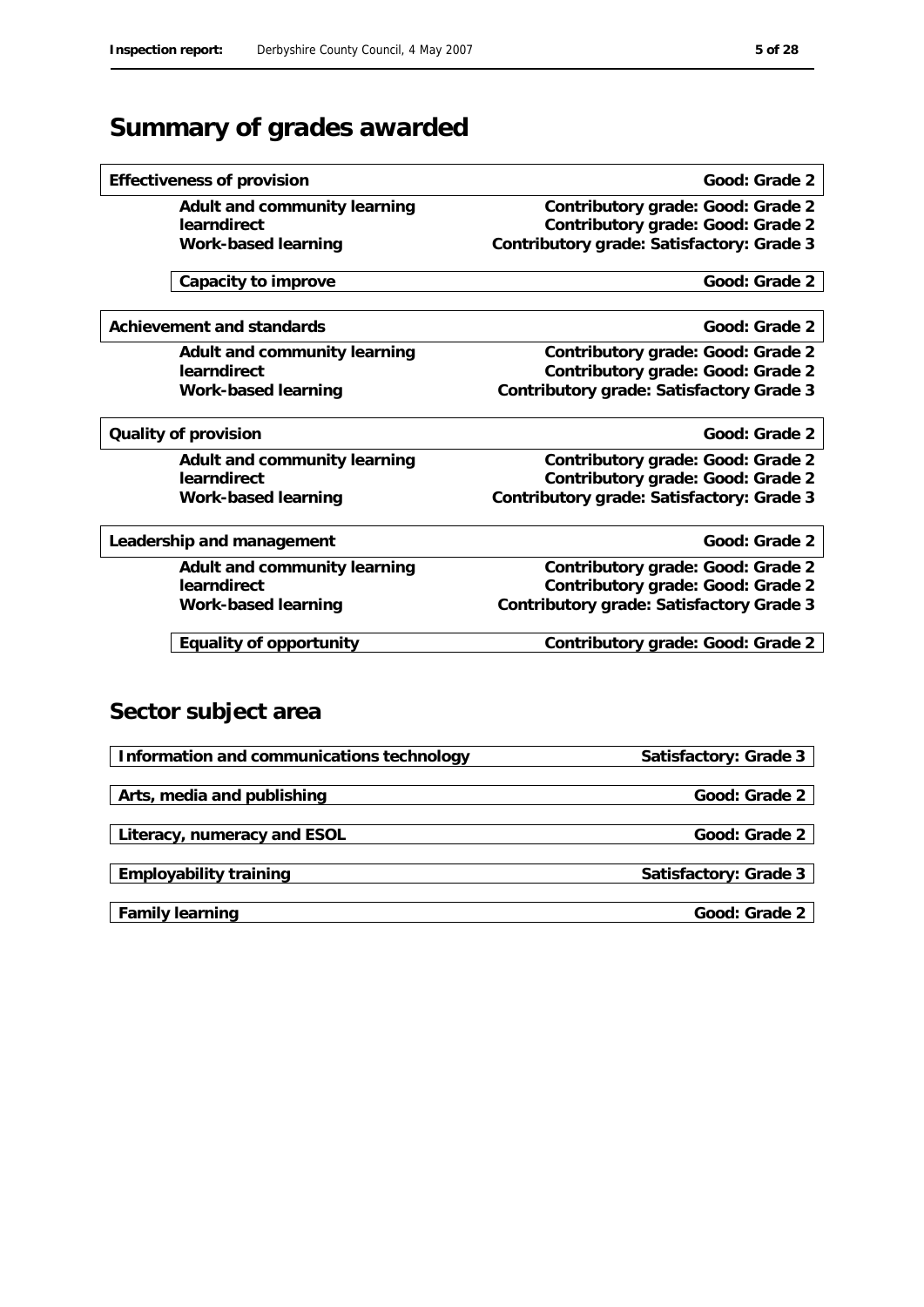# **Summary of grades awarded**

| Adult and community learning | Contributory grade: Good: Grade 2         |
|------------------------------|-------------------------------------------|
| learndirect                  | Contributory grade: Good: Grade 2         |
| Work-based learning          | Contributory grade: Satisfactory: Grade 3 |
| Capacity to improve          | Good: Grade 2                             |
|                              |                                           |
| Achievement and standards    | Good: Grade 2                             |
| Adult and community learning | Contributory grade: Good: Grade 2         |
| learndirect                  | Contributory grade: Good: Grade 2         |
| Work-based learning          | Contributory grade: Satisfactory Grade 3  |
| Quality of provision         | Good: Grade 2                             |
| Adult and community learning | Contributory grade: Good: Grade 2         |
| learndirect                  | Contributory grade: Good: Grade 2         |
| Work-based learning          | Contributory grade: Satisfactory: Grade 3 |
|                              |                                           |
| Leadership and management    | Good: Grade 2                             |
| Adult and community learning | Contributory grade: Good: Grade 2         |
| learndirect                  | Contributory grade: Good: Grade 2         |
| Work-based learning          | Contributory grade: Satisfactory Grade 3  |
| Equality of opportunity      | Contributory grade: Good: Grade 2         |
|                              |                                           |
|                              |                                           |
| Sector subject area          |                                           |

**Effectiveness of provision Good: Grade 2 Good: Grade 2** 

| Information and communications technology | Satisfactory: Grade 3 |
|-------------------------------------------|-----------------------|
|                                           |                       |
| Arts, media and publishing                | Good: Grade 2         |
|                                           |                       |
| Literacy, numeracy and ESOL               | Good: Grade 2         |
|                                           |                       |
| Employability training                    | Satisfactory: Grade 3 |
|                                           |                       |
| Family learning                           | Good: Grade 2         |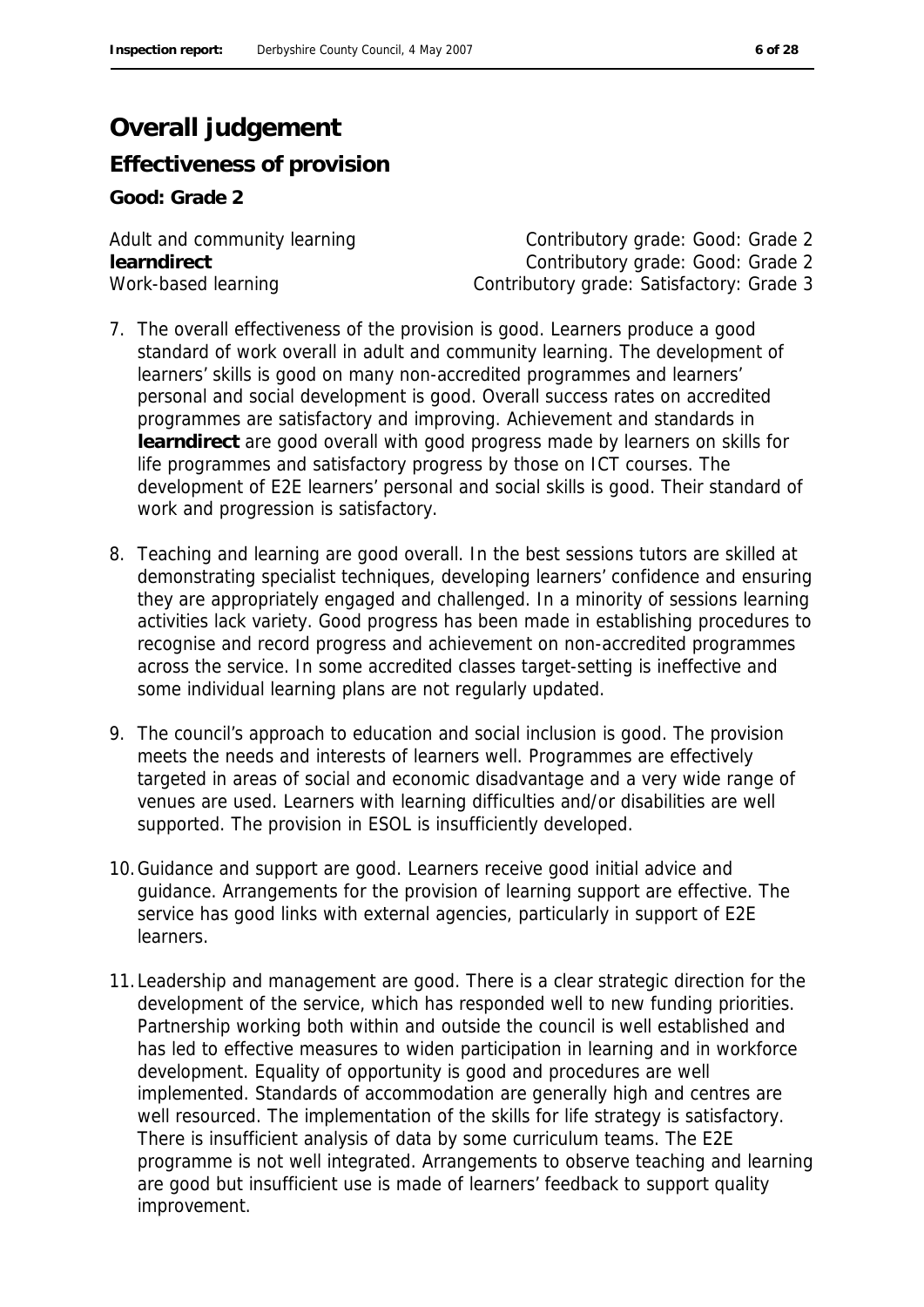# **Overall judgement**

**Effectiveness of provision**

**Good: Grade 2**

Adult and community learning example and contributory grade: Good: Grade 2 **learndirect** Contributory grade: Good: Grade 2 Work-based learning Contributory grade: Satisfactory: Grade 3

- 7. The overall effectiveness of the provision is good. Learners produce a good standard of work overall in adult and community learning. The development of learners' skills is good on many non-accredited programmes and learners' personal and social development is good. Overall success rates on accredited programmes are satisfactory and improving. Achievement and standards in **learndirect** are good overall with good progress made by learners on skills for life programmes and satisfactory progress by those on ICT courses. The development of E2E learners' personal and social skills is good. Their standard of work and progression is satisfactory.
- 8. Teaching and learning are good overall. In the best sessions tutors are skilled at demonstrating specialist techniques, developing learners' confidence and ensuring they are appropriately engaged and challenged. In a minority of sessions learning activities lack variety. Good progress has been made in establishing procedures to recognise and record progress and achievement on non-accredited programmes across the service. In some accredited classes target-setting is ineffective and some individual learning plans are not regularly updated.
- 9. The council's approach to education and social inclusion is good. The provision meets the needs and interests of learners well. Programmes are effectively targeted in areas of social and economic disadvantage and a very wide range of venues are used. Learners with learning difficulties and/or disabilities are well supported. The provision in ESOL is insufficiently developed.
- 10.Guidance and support are good. Learners receive good initial advice and guidance. Arrangements for the provision of learning support are effective. The service has good links with external agencies, particularly in support of E2E learners.
- 11.Leadership and management are good. There is a clear strategic direction for the development of the service, which has responded well to new funding priorities. Partnership working both within and outside the council is well established and has led to effective measures to widen participation in learning and in workforce development. Equality of opportunity is good and procedures are well implemented. Standards of accommodation are generally high and centres are well resourced. The implementation of the skills for life strategy is satisfactory. There is insufficient analysis of data by some curriculum teams. The E2E programme is not well integrated. Arrangements to observe teaching and learning are good but insufficient use is made of learners' feedback to support quality improvement.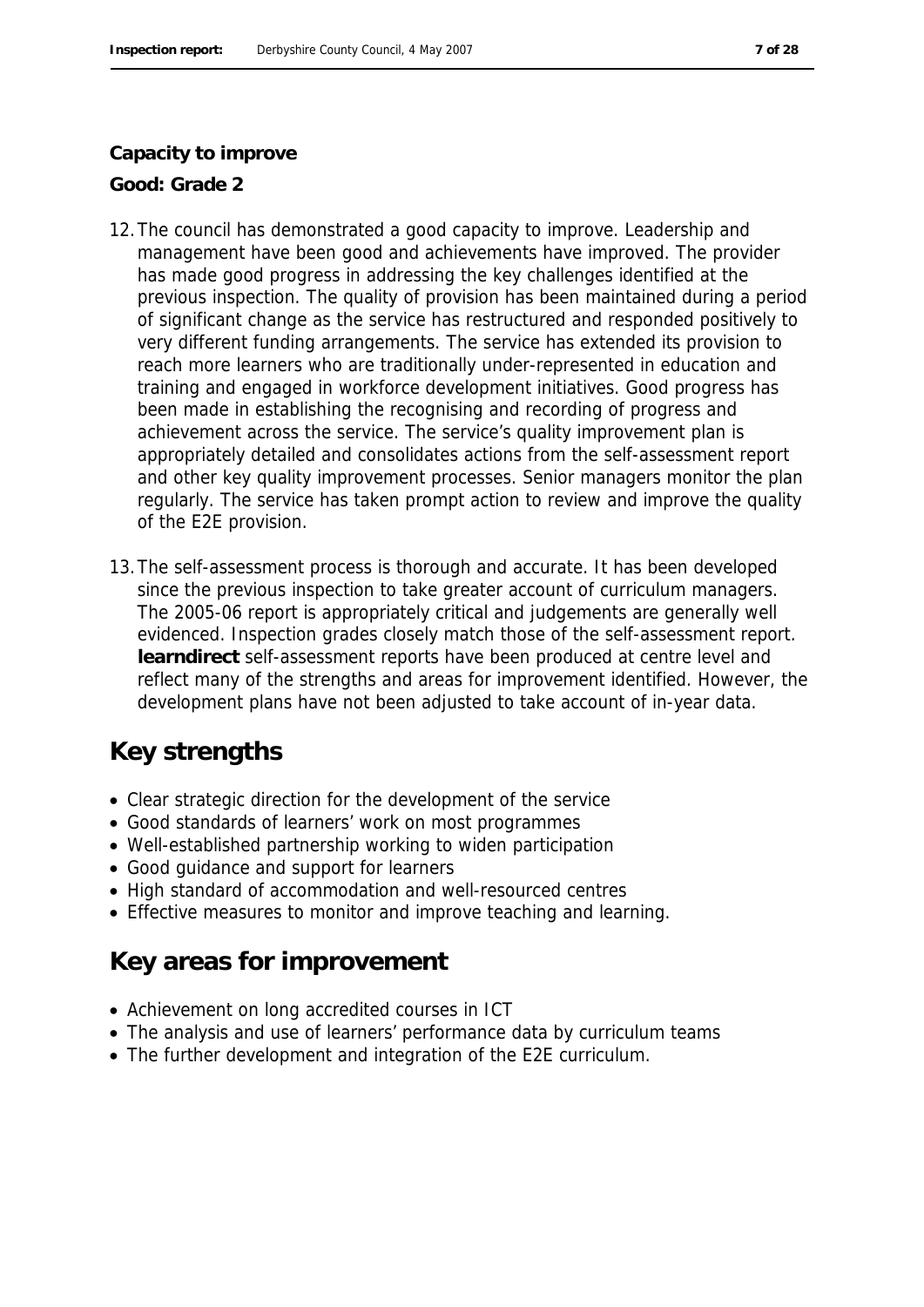#### **Capacity to improve**

**Good: Grade 2**

- 12.The council has demonstrated a good capacity to improve. Leadership and management have been good and achievements have improved. The provider has made good progress in addressing the key challenges identified at the previous inspection. The quality of provision has been maintained during a period of significant change as the service has restructured and responded positively to very different funding arrangements. The service has extended its provision to reach more learners who are traditionally under-represented in education and training and engaged in workforce development initiatives. Good progress has been made in establishing the recognising and recording of progress and achievement across the service. The service's quality improvement plan is appropriately detailed and consolidates actions from the self-assessment report and other key quality improvement processes. Senior managers monitor the plan regularly. The service has taken prompt action to review and improve the quality of the E2E provision.
- 13.The self-assessment process is thorough and accurate. It has been developed since the previous inspection to take greater account of curriculum managers. The 2005-06 report is appropriately critical and judgements are generally well evidenced. Inspection grades closely match those of the self-assessment report. **learndirect** self-assessment reports have been produced at centre level and reflect many of the strengths and areas for improvement identified. However, the development plans have not been adjusted to take account of in-year data.

# **Key strengths**

- Clear strategic direction for the development of the service
- Good standards of learners' work on most programmes
- Well-established partnership working to widen participation
- Good guidance and support for learners
- High standard of accommodation and well-resourced centres
- Effective measures to monitor and improve teaching and learning.

# **Key areas for improvement**

- Achievement on long accredited courses in ICT
- The analysis and use of learners' performance data by curriculum teams
- The further development and integration of the E2E curriculum.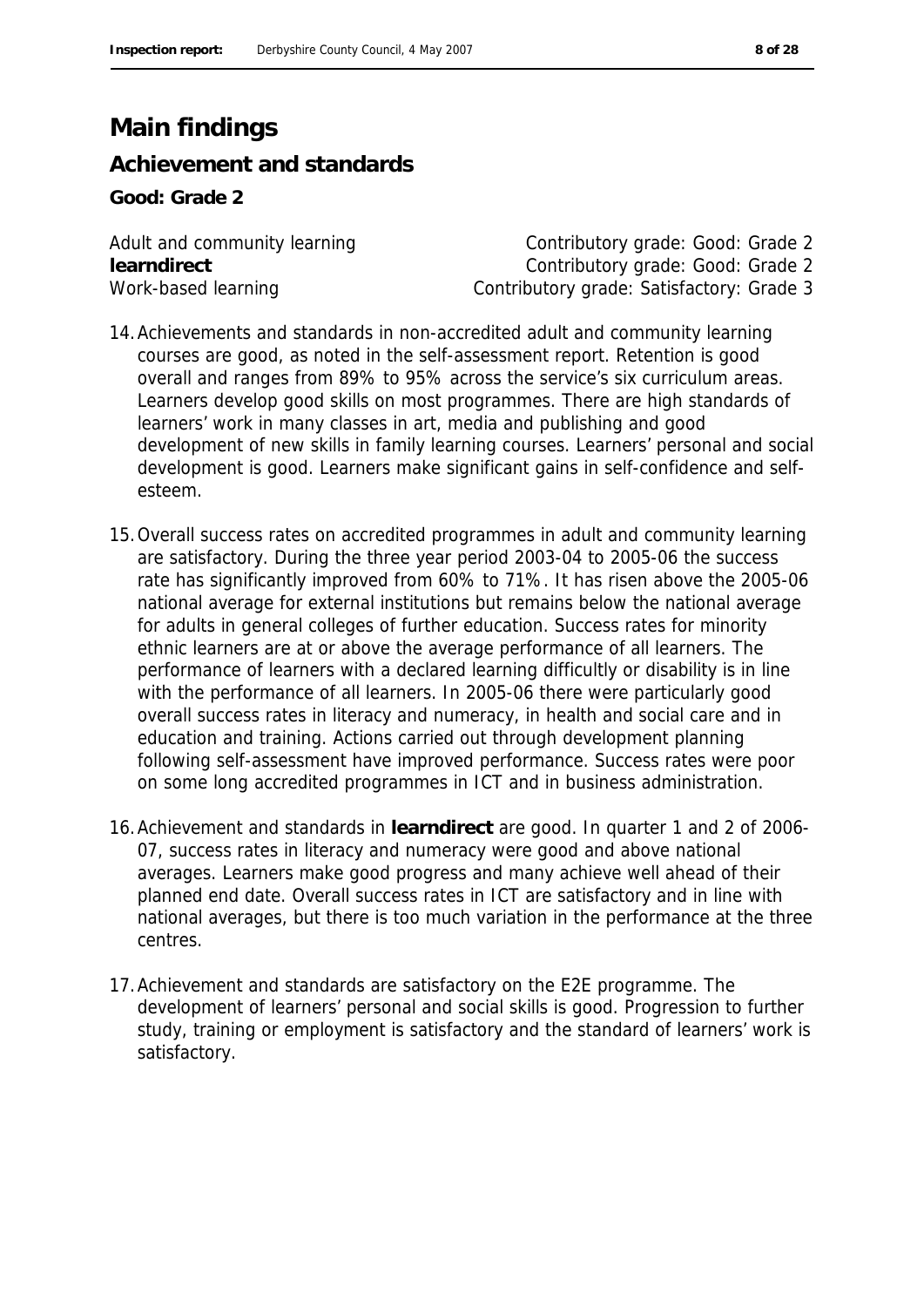# **Main findings**

### **Achievement and standards**

**Good: Grade 2**

Adult and community learning and contributory grade: Good: Grade 2 **learndirect** Contributory grade: Good: Grade 2 Work-based learning Contributory grade: Satisfactory: Grade 3

- 14.Achievements and standards in non-accredited adult and community learning courses are good, as noted in the self-assessment report. Retention is good overall and ranges from 89% to 95% across the service's six curriculum areas. Learners develop good skills on most programmes. There are high standards of learners' work in many classes in art, media and publishing and good development of new skills in family learning courses. Learners' personal and social development is good. Learners make significant gains in self-confidence and selfesteem.
- 15.Overall success rates on accredited programmes in adult and community learning are satisfactory. During the three year period 2003-04 to 2005-06 the success rate has significantly improved from 60% to 71%. It has risen above the 2005-06 national average for external institutions but remains below the national average for adults in general colleges of further education. Success rates for minority ethnic learners are at or above the average performance of all learners. The performance of learners with a declared learning difficultly or disability is in line with the performance of all learners. In 2005-06 there were particularly good overall success rates in literacy and numeracy, in health and social care and in education and training. Actions carried out through development planning following self-assessment have improved performance. Success rates were poor on some long accredited programmes in ICT and in business administration.
- 16.Achievement and standards in **learndirect** are good. In quarter 1 and 2 of 2006- 07, success rates in literacy and numeracy were good and above national averages. Learners make good progress and many achieve well ahead of their planned end date. Overall success rates in ICT are satisfactory and in line with national averages, but there is too much variation in the performance at the three centres.
- 17.Achievement and standards are satisfactory on the E2E programme. The development of learners' personal and social skills is good. Progression to further study, training or employment is satisfactory and the standard of learners' work is satisfactory.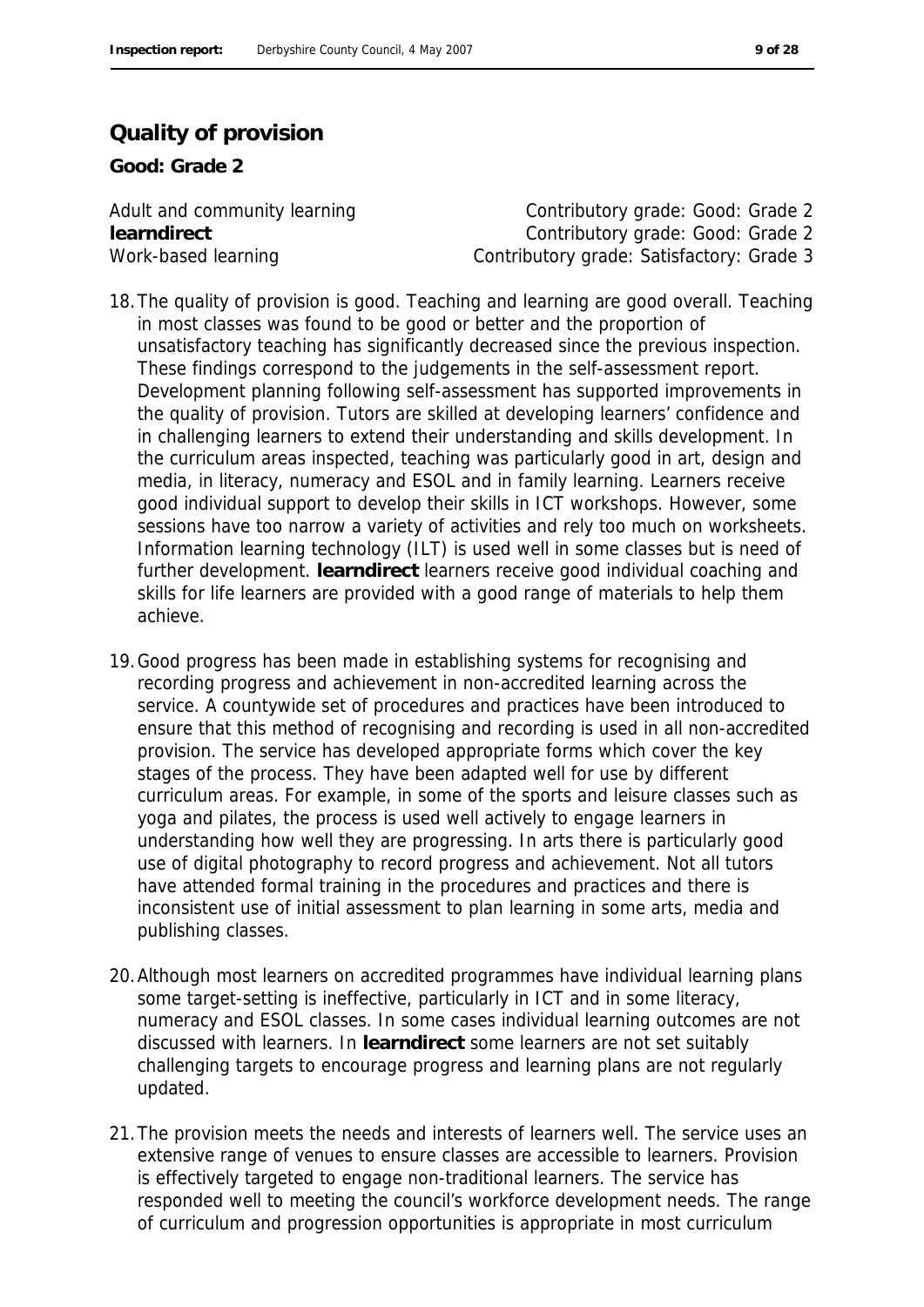### **Quality of provision**

**Good: Grade 2**

Adult and community learning example and contributory grade: Good: Grade 2 **learndirect** Contributory grade: Good: Grade 2 Work-based learning **Contributory grade: Satisfactory: Grade 3** 

- 18.The quality of provision is good. Teaching and learning are good overall. Teaching in most classes was found to be good or better and the proportion of unsatisfactory teaching has significantly decreased since the previous inspection. These findings correspond to the judgements in the self-assessment report. Development planning following self-assessment has supported improvements in the quality of provision. Tutors are skilled at developing learners' confidence and in challenging learners to extend their understanding and skills development. In the curriculum areas inspected, teaching was particularly good in art, design and media, in literacy, numeracy and ESOL and in family learning. Learners receive good individual support to develop their skills in ICT workshops. However, some sessions have too narrow a variety of activities and rely too much on worksheets. Information learning technology (ILT) is used well in some classes but is need of further development. **learndirect** learners receive good individual coaching and skills for life learners are provided with a good range of materials to help them achieve.
- 19.Good progress has been made in establishing systems for recognising and recording progress and achievement in non-accredited learning across the service. A countywide set of procedures and practices have been introduced to ensure that this method of recognising and recording is used in all non-accredited provision. The service has developed appropriate forms which cover the key stages of the process. They have been adapted well for use by different curriculum areas. For example, in some of the sports and leisure classes such as yoga and pilates, the process is used well actively to engage learners in understanding how well they are progressing. In arts there is particularly good use of digital photography to record progress and achievement. Not all tutors have attended formal training in the procedures and practices and there is inconsistent use of initial assessment to plan learning in some arts, media and publishing classes.
- 20.Although most learners on accredited programmes have individual learning plans some target-setting is ineffective, particularly in ICT and in some literacy, numeracy and ESOL classes. In some cases individual learning outcomes are not discussed with learners. In **learndirect** some learners are not set suitably challenging targets to encourage progress and learning plans are not regularly updated.
- 21.The provision meets the needs and interests of learners well. The service uses an extensive range of venues to ensure classes are accessible to learners. Provision is effectively targeted to engage non-traditional learners. The service has responded well to meeting the council's workforce development needs. The range of curriculum and progression opportunities is appropriate in most curriculum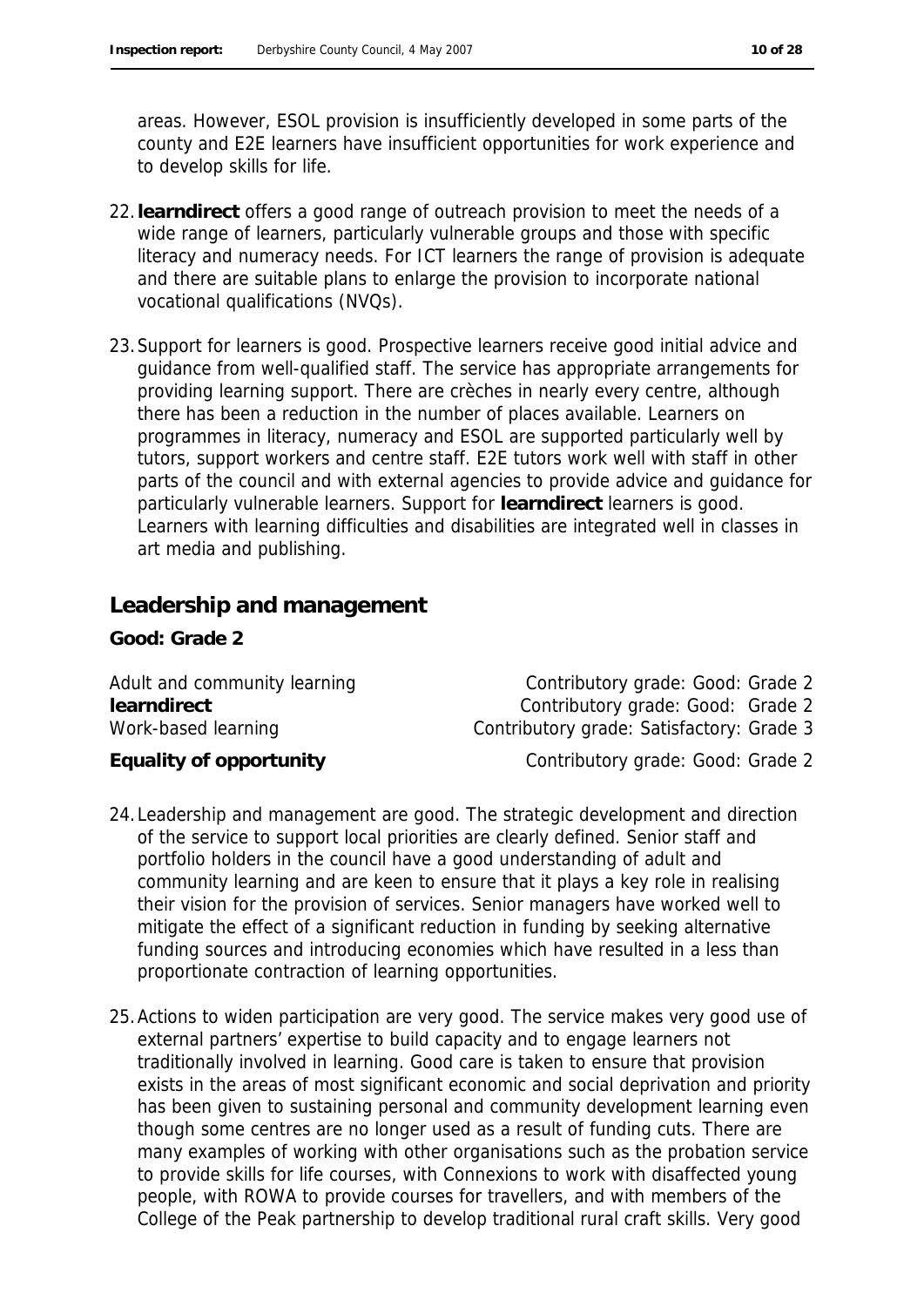areas. However, ESOL provision is insufficiently developed in some parts of the county and E2E learners have insufficient opportunities for work experience and to develop skills for life.

- 22.**learndirect** offers a good range of outreach provision to meet the needs of a wide range of learners, particularly vulnerable groups and those with specific literacy and numeracy needs. For ICT learners the range of provision is adequate and there are suitable plans to enlarge the provision to incorporate national vocational qualifications (NVQs).
- 23.Support for learners is good. Prospective learners receive good initial advice and guidance from well-qualified staff. The service has appropriate arrangements for providing learning support. There are crèches in nearly every centre, although there has been a reduction in the number of places available. Learners on programmes in literacy, numeracy and ESOL are supported particularly well by tutors, support workers and centre staff. E2E tutors work well with staff in other parts of the council and with external agencies to provide advice and guidance for particularly vulnerable learners. Support for **learndirect** learners is good. Learners with learning difficulties and disabilities are integrated well in classes in art media and publishing.

### **Leadership and management**

**Good: Grade 2**

Adult and community learning example and contributory grade: Good: Grade 2 **learndirect** Contributory grade: Good: Grade 2 Work-based learning Contributory grade: Satisfactory: Grade 3

Equality of opportunity **Equality of opportunity** Contributory grade: Good: Grade 2

- 24.Leadership and management are good. The strategic development and direction of the service to support local priorities are clearly defined. Senior staff and portfolio holders in the council have a good understanding of adult and community learning and are keen to ensure that it plays a key role in realising their vision for the provision of services. Senior managers have worked well to mitigate the effect of a significant reduction in funding by seeking alternative funding sources and introducing economies which have resulted in a less than proportionate contraction of learning opportunities.
- 25.Actions to widen participation are very good. The service makes very good use of external partners' expertise to build capacity and to engage learners not traditionally involved in learning. Good care is taken to ensure that provision exists in the areas of most significant economic and social deprivation and priority has been given to sustaining personal and community development learning even though some centres are no longer used as a result of funding cuts. There are many examples of working with other organisations such as the probation service to provide skills for life courses, with Connexions to work with disaffected young people, with ROWA to provide courses for travellers, and with members of the College of the Peak partnership to develop traditional rural craft skills. Very good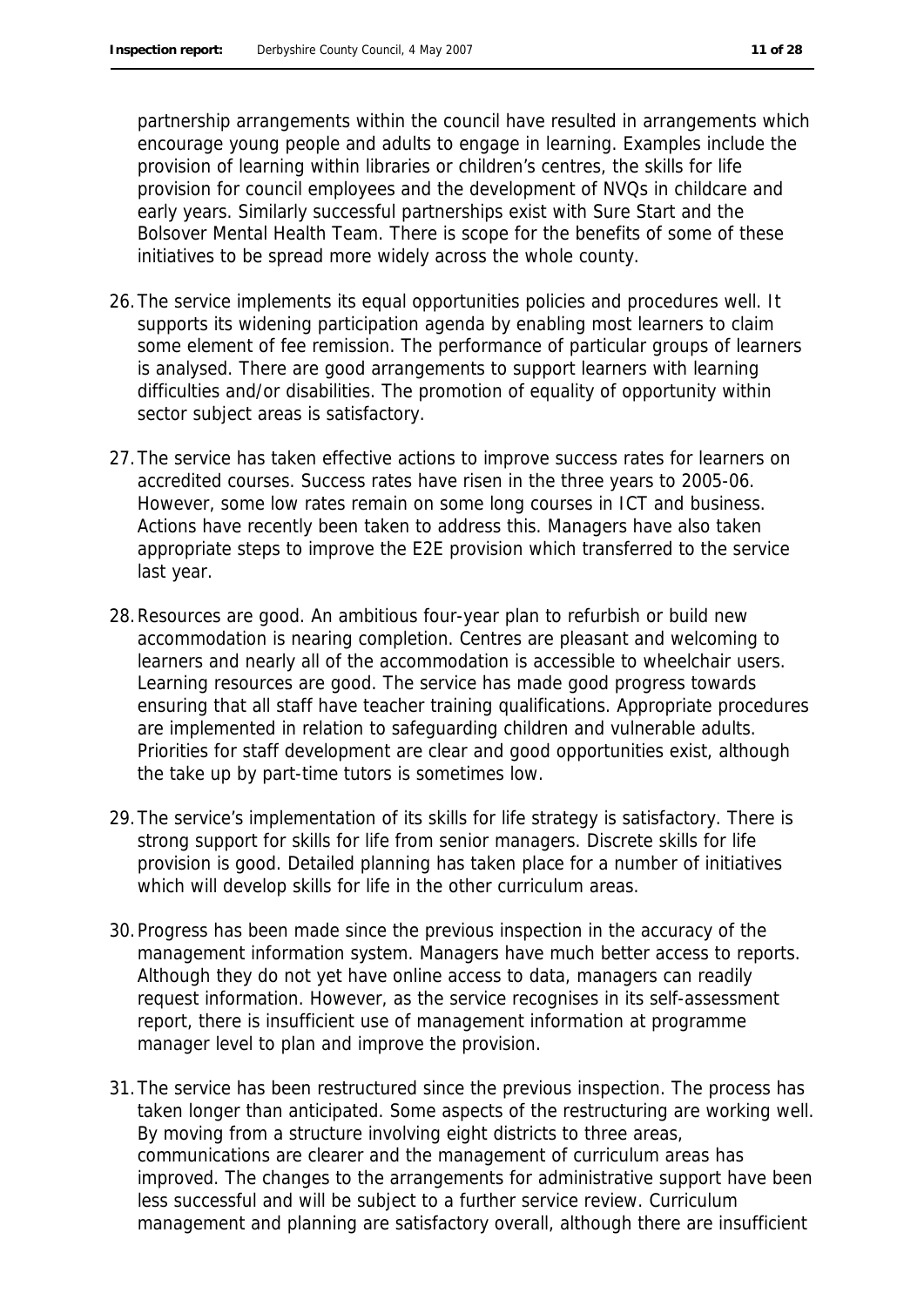partnership arrangements within the council have resulted in arrangements which encourage young people and adults to engage in learning. Examples include the provision of learning within libraries or children's centres, the skills for life provision for council employees and the development of NVQs in childcare and early years. Similarly successful partnerships exist with Sure Start and the Bolsover Mental Health Team. There is scope for the benefits of some of these initiatives to be spread more widely across the whole county.

- 26.The service implements its equal opportunities policies and procedures well. It supports its widening participation agenda by enabling most learners to claim some element of fee remission. The performance of particular groups of learners is analysed. There are good arrangements to support learners with learning difficulties and/or disabilities. The promotion of equality of opportunity within sector subject areas is satisfactory.
- 27.The service has taken effective actions to improve success rates for learners on accredited courses. Success rates have risen in the three years to 2005-06. However, some low rates remain on some long courses in ICT and business. Actions have recently been taken to address this. Managers have also taken appropriate steps to improve the E2E provision which transferred to the service last year.
- 28.Resources are good. An ambitious four-year plan to refurbish or build new accommodation is nearing completion. Centres are pleasant and welcoming to learners and nearly all of the accommodation is accessible to wheelchair users. Learning resources are good. The service has made good progress towards ensuring that all staff have teacher training qualifications. Appropriate procedures are implemented in relation to safeguarding children and vulnerable adults. Priorities for staff development are clear and good opportunities exist, although the take up by part-time tutors is sometimes low.
- 29.The service's implementation of its skills for life strategy is satisfactory. There is strong support for skills for life from senior managers. Discrete skills for life provision is good. Detailed planning has taken place for a number of initiatives which will develop skills for life in the other curriculum areas.
- 30.Progress has been made since the previous inspection in the accuracy of the management information system. Managers have much better access to reports. Although they do not yet have online access to data, managers can readily request information. However, as the service recognises in its self-assessment report, there is insufficient use of management information at programme manager level to plan and improve the provision.
- 31.The service has been restructured since the previous inspection. The process has taken longer than anticipated. Some aspects of the restructuring are working well. By moving from a structure involving eight districts to three areas, communications are clearer and the management of curriculum areas has improved. The changes to the arrangements for administrative support have been less successful and will be subject to a further service review. Curriculum management and planning are satisfactory overall, although there are insufficient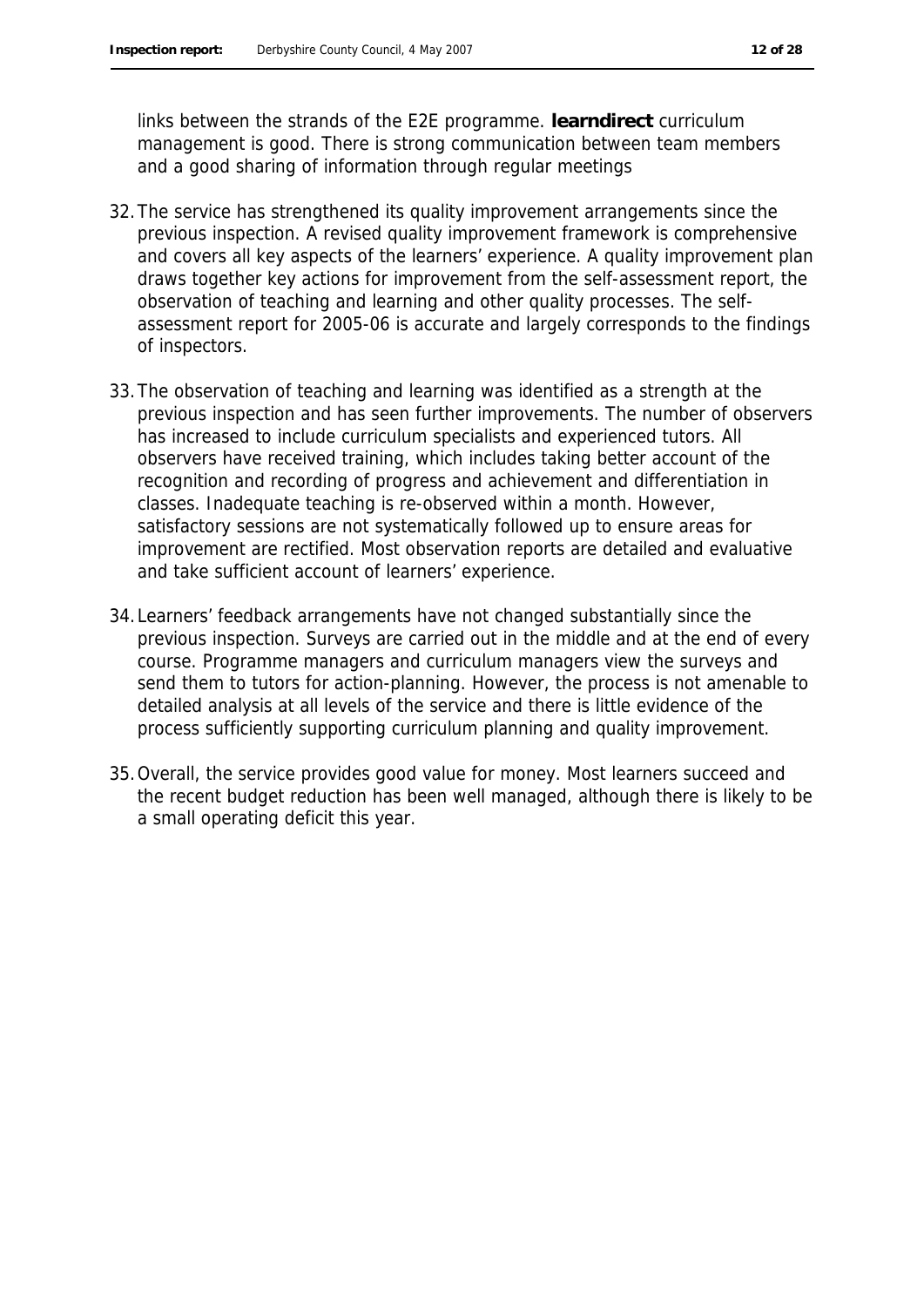links between the strands of the E2E programme. **learndirect** curriculum management is good. There is strong communication between team members and a good sharing of information through regular meetings

- 32.The service has strengthened its quality improvement arrangements since the previous inspection. A revised quality improvement framework is comprehensive and covers all key aspects of the learners' experience. A quality improvement plan draws together key actions for improvement from the self-assessment report, the observation of teaching and learning and other quality processes. The selfassessment report for 2005-06 is accurate and largely corresponds to the findings of inspectors.
- 33.The observation of teaching and learning was identified as a strength at the previous inspection and has seen further improvements. The number of observers has increased to include curriculum specialists and experienced tutors. All observers have received training, which includes taking better account of the recognition and recording of progress and achievement and differentiation in classes. Inadequate teaching is re-observed within a month. However, satisfactory sessions are not systematically followed up to ensure areas for improvement are rectified. Most observation reports are detailed and evaluative and take sufficient account of learners' experience.
- 34.Learners' feedback arrangements have not changed substantially since the previous inspection. Surveys are carried out in the middle and at the end of every course. Programme managers and curriculum managers view the surveys and send them to tutors for action-planning. However, the process is not amenable to detailed analysis at all levels of the service and there is little evidence of the process sufficiently supporting curriculum planning and quality improvement.
- 35.Overall, the service provides good value for money. Most learners succeed and the recent budget reduction has been well managed, although there is likely to be a small operating deficit this year.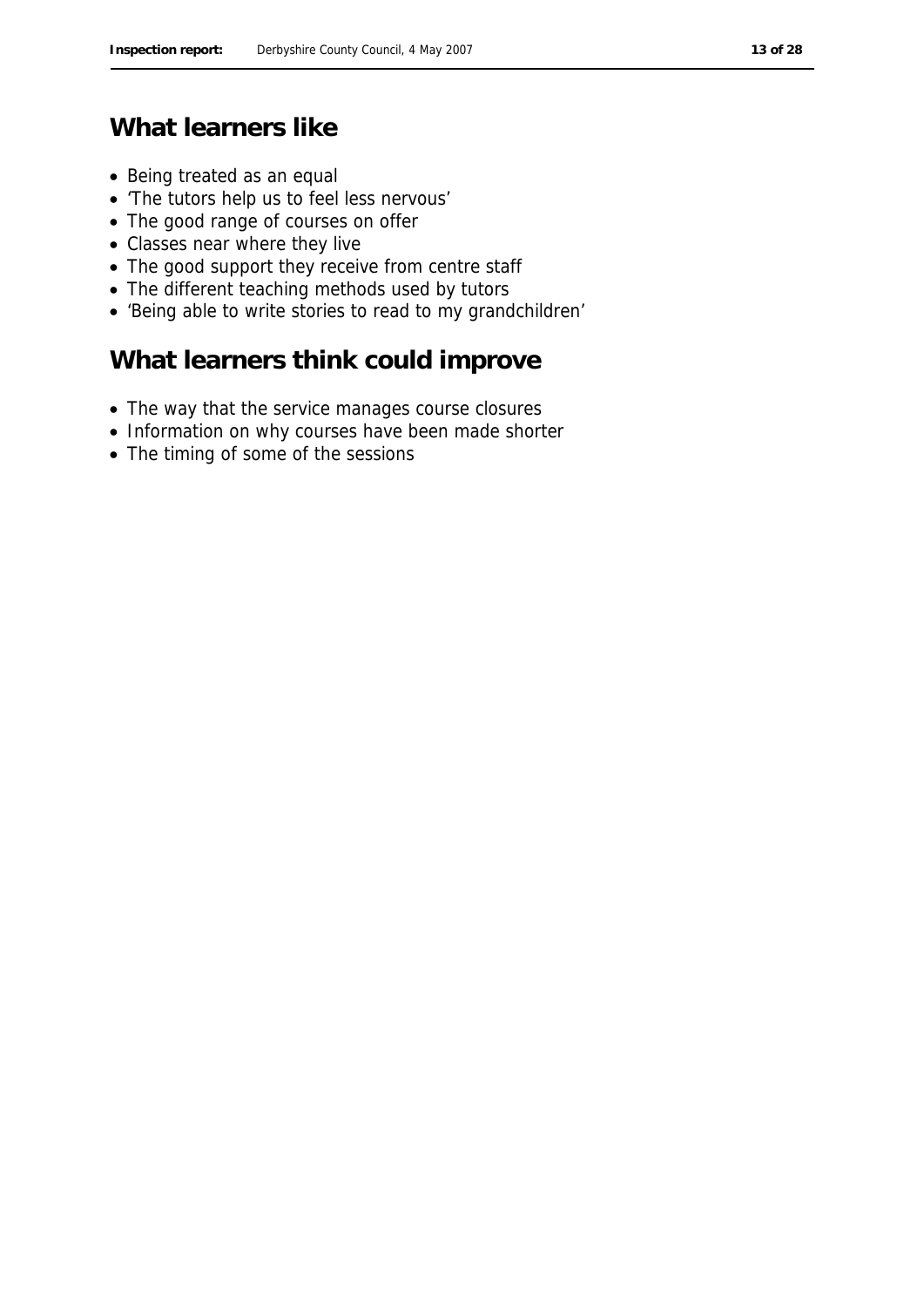# **What learners like**

- Being treated as an equal
- 'The tutors help us to feel less nervous'
- The good range of courses on offer
- Classes near where they live
- The good support they receive from centre staff
- The different teaching methods used by tutors
- 'Being able to write stories to read to my grandchildren'

# **What learners think could improve**

- The way that the service manages course closures
- Information on why courses have been made shorter
- The timing of some of the sessions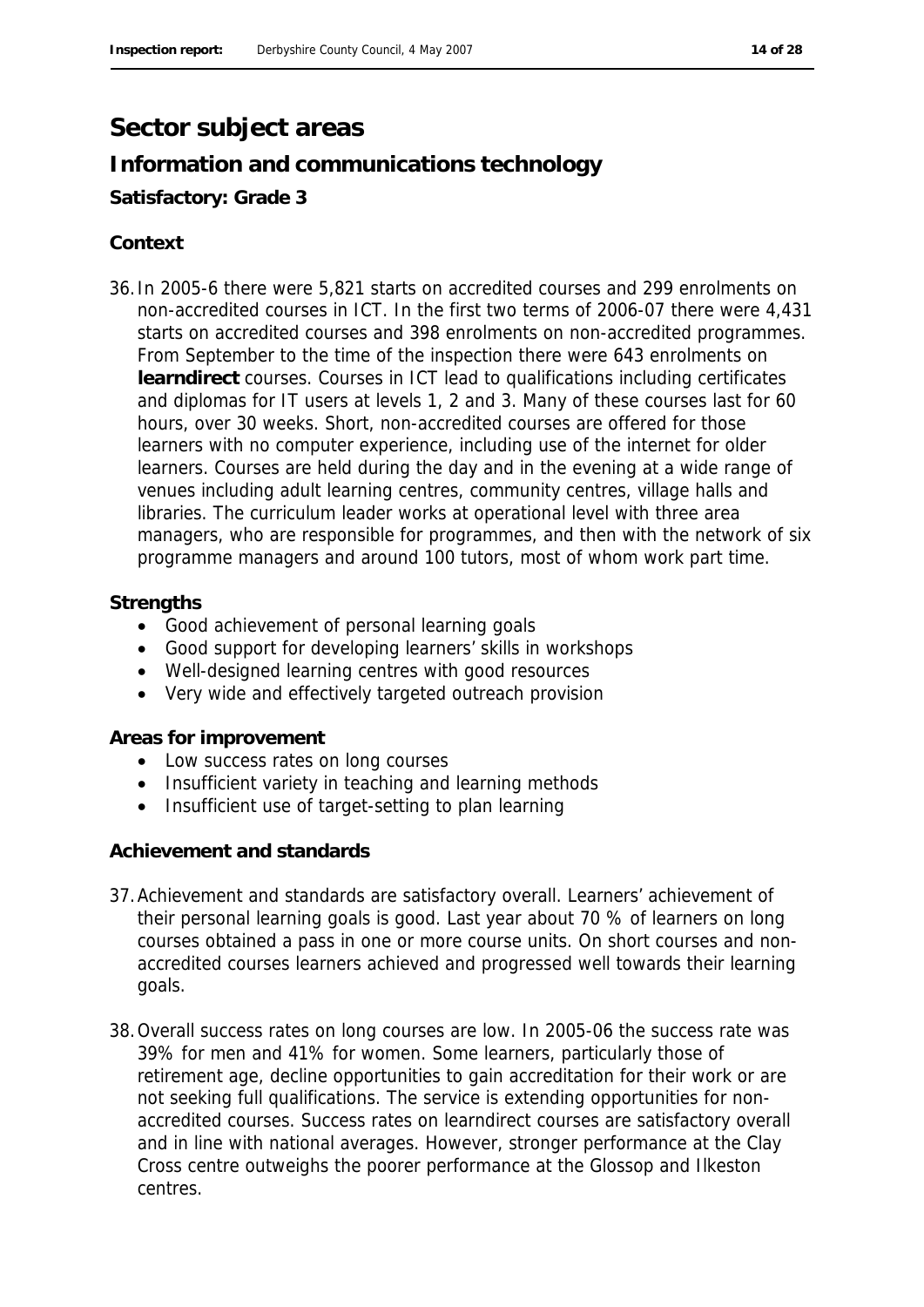## **Sector subject areas**

# **Information and communications technology**

### **Satisfactory: Grade 3**

### **Context**

36.In 2005-6 there were 5,821 starts on accredited courses and 299 enrolments on non-accredited courses in ICT. In the first two terms of 2006-07 there were 4,431 starts on accredited courses and 398 enrolments on non-accredited programmes. From September to the time of the inspection there were 643 enrolments on **learndirect** courses. Courses in ICT lead to qualifications including certificates and diplomas for IT users at levels 1, 2 and 3. Many of these courses last for 60 hours, over 30 weeks. Short, non-accredited courses are offered for those learners with no computer experience, including use of the internet for older learners. Courses are held during the day and in the evening at a wide range of venues including adult learning centres, community centres, village halls and libraries. The curriculum leader works at operational level with three area managers, who are responsible for programmes, and then with the network of six programme managers and around 100 tutors, most of whom work part time.

### **Strengths**

- Good achievement of personal learning goals
- Good support for developing learners' skills in workshops
- Well-designed learning centres with good resources
- Very wide and effectively targeted outreach provision

#### **Areas for improvement**

- Low success rates on long courses
- Insufficient variety in teaching and learning methods
- Insufficient use of target-setting to plan learning

#### **Achievement and standards**

- 37.Achievement and standards are satisfactory overall. Learners' achievement of their personal learning goals is good. Last year about 70 % of learners on long courses obtained a pass in one or more course units. On short courses and nonaccredited courses learners achieved and progressed well towards their learning goals.
- 38.Overall success rates on long courses are low. In 2005-06 the success rate was 39% for men and 41% for women. Some learners, particularly those of retirement age, decline opportunities to gain accreditation for their work or are not seeking full qualifications. The service is extending opportunities for nonaccredited courses. Success rates on learndirect courses are satisfactory overall and in line with national averages. However, stronger performance at the Clay Cross centre outweighs the poorer performance at the Glossop and Ilkeston centres.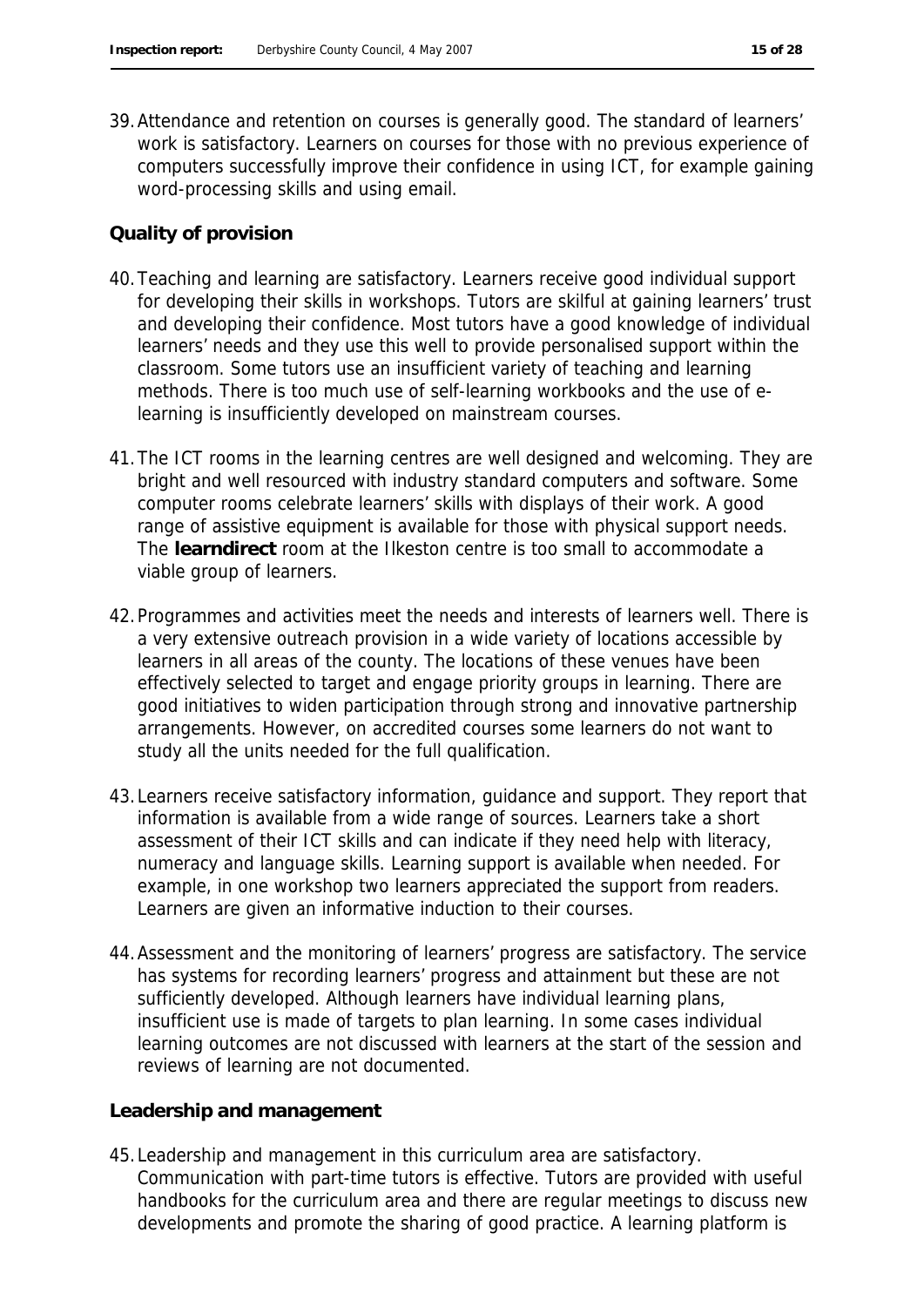39.Attendance and retention on courses is generally good. The standard of learners' work is satisfactory. Learners on courses for those with no previous experience of computers successfully improve their confidence in using ICT, for example gaining word-processing skills and using email.

### **Quality of provision**

- 40.Teaching and learning are satisfactory. Learners receive good individual support for developing their skills in workshops. Tutors are skilful at gaining learners' trust and developing their confidence. Most tutors have a good knowledge of individual learners' needs and they use this well to provide personalised support within the classroom. Some tutors use an insufficient variety of teaching and learning methods. There is too much use of self-learning workbooks and the use of elearning is insufficiently developed on mainstream courses.
- 41.The ICT rooms in the learning centres are well designed and welcoming. They are bright and well resourced with industry standard computers and software. Some computer rooms celebrate learners' skills with displays of their work. A good range of assistive equipment is available for those with physical support needs. The **learndirect** room at the Ilkeston centre is too small to accommodate a viable group of learners.
- 42.Programmes and activities meet the needs and interests of learners well. There is a very extensive outreach provision in a wide variety of locations accessible by learners in all areas of the county. The locations of these venues have been effectively selected to target and engage priority groups in learning. There are good initiatives to widen participation through strong and innovative partnership arrangements. However, on accredited courses some learners do not want to study all the units needed for the full qualification.
- 43.Learners receive satisfactory information, guidance and support. They report that information is available from a wide range of sources. Learners take a short assessment of their ICT skills and can indicate if they need help with literacy, numeracy and language skills. Learning support is available when needed. For example, in one workshop two learners appreciated the support from readers. Learners are given an informative induction to their courses.
- 44.Assessment and the monitoring of learners' progress are satisfactory. The service has systems for recording learners' progress and attainment but these are not sufficiently developed. Although learners have individual learning plans, insufficient use is made of targets to plan learning. In some cases individual learning outcomes are not discussed with learners at the start of the session and reviews of learning are not documented.

#### **Leadership and management**

45.Leadership and management in this curriculum area are satisfactory. Communication with part-time tutors is effective. Tutors are provided with useful handbooks for the curriculum area and there are regular meetings to discuss new developments and promote the sharing of good practice. A learning platform is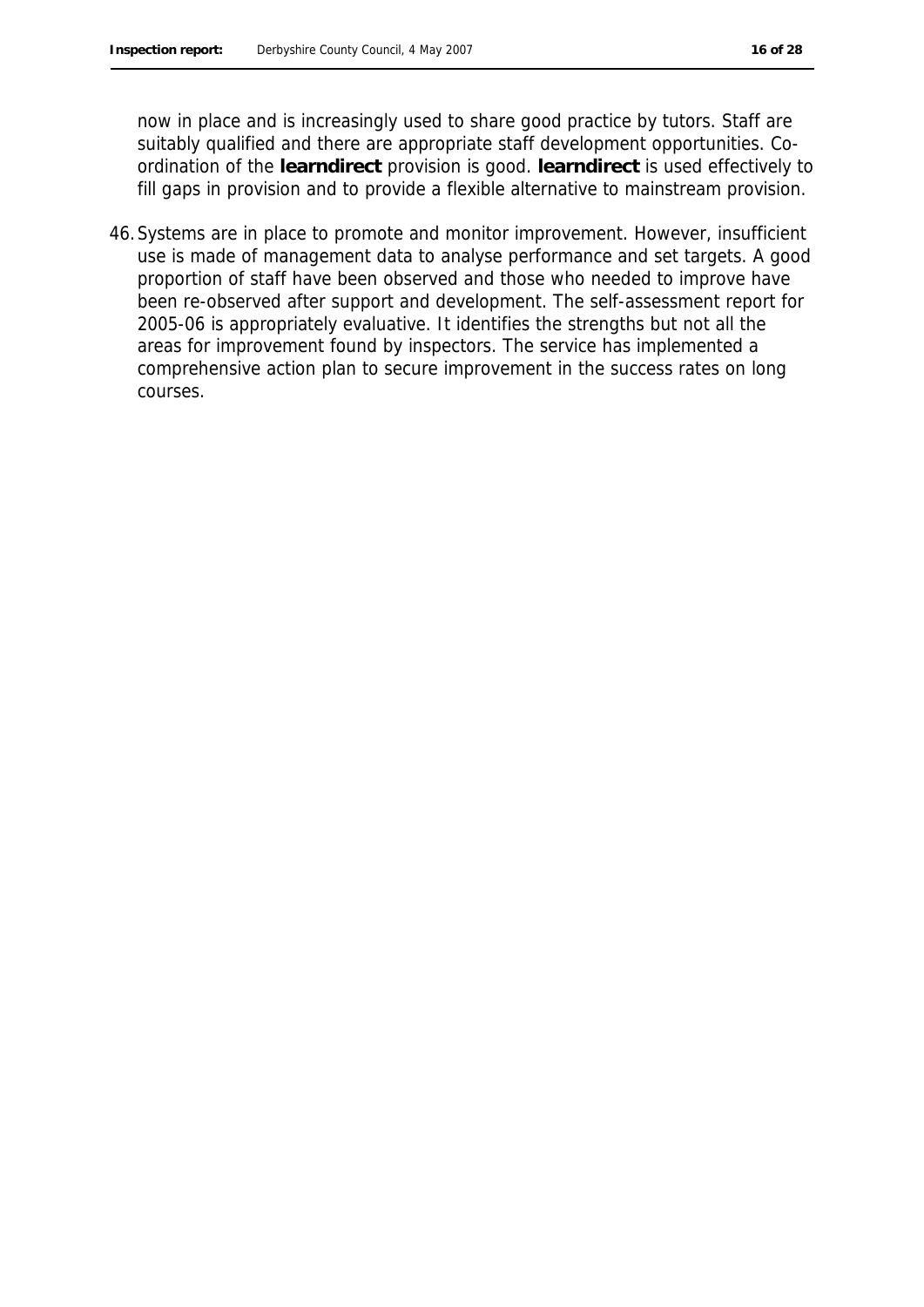now in place and is increasingly used to share good practice by tutors. Staff are suitably qualified and there are appropriate staff development opportunities. Coordination of the **learndirect** provision is good. **learndirect** is used effectively to fill gaps in provision and to provide a flexible alternative to mainstream provision.

46.Systems are in place to promote and monitor improvement. However, insufficient use is made of management data to analyse performance and set targets. A good proportion of staff have been observed and those who needed to improve have been re-observed after support and development. The self-assessment report for 2005-06 is appropriately evaluative. It identifies the strengths but not all the areas for improvement found by inspectors. The service has implemented a comprehensive action plan to secure improvement in the success rates on long courses.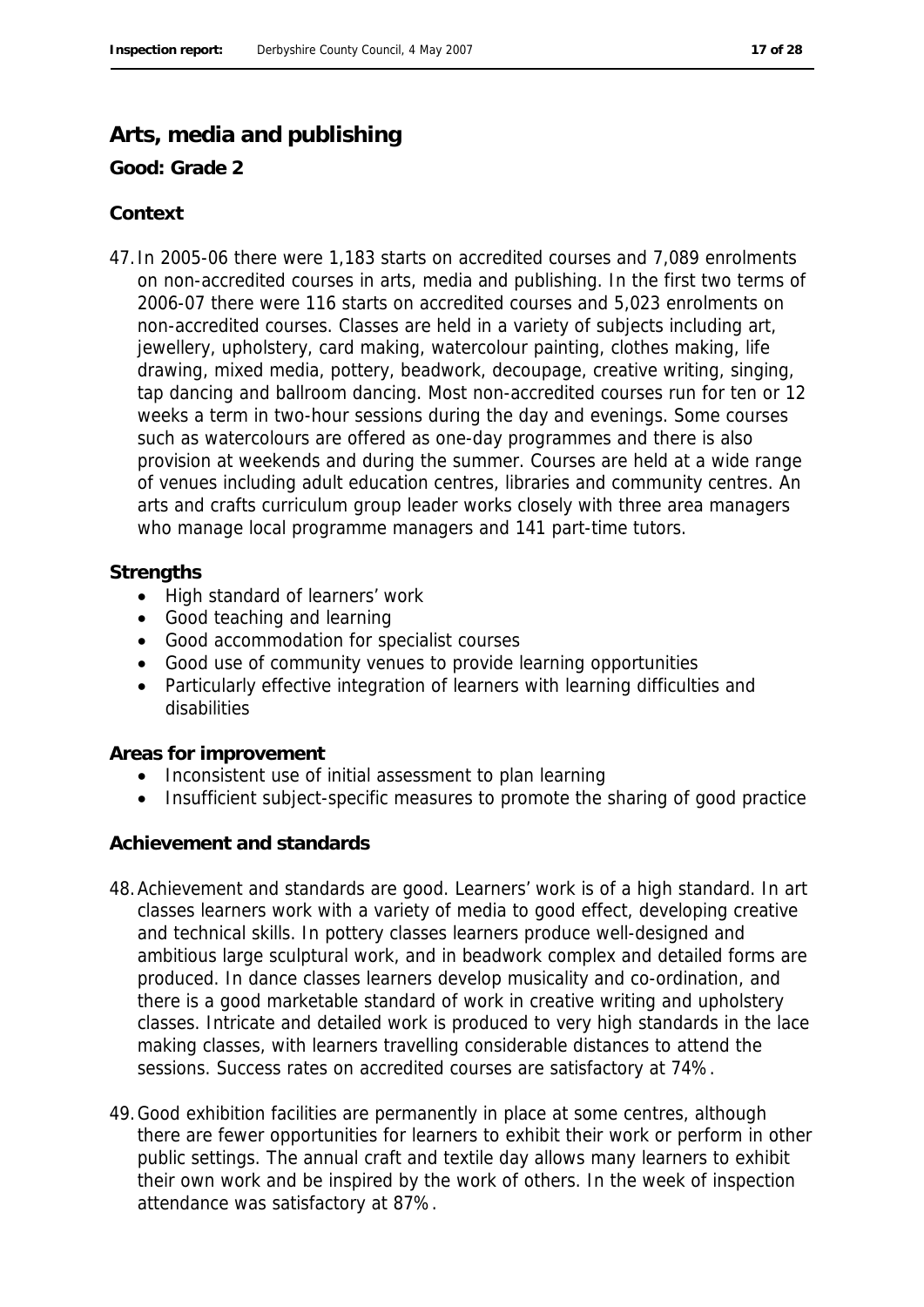### **Arts, media and publishing**

**Good: Grade 2**

#### **Context**

47.In 2005-06 there were 1,183 starts on accredited courses and 7,089 enrolments on non-accredited courses in arts, media and publishing. In the first two terms of 2006-07 there were 116 starts on accredited courses and 5,023 enrolments on non-accredited courses. Classes are held in a variety of subjects including art, jewellery, upholstery, card making, watercolour painting, clothes making, life drawing, mixed media, pottery, beadwork, decoupage, creative writing, singing, tap dancing and ballroom dancing. Most non-accredited courses run for ten or 12 weeks a term in two-hour sessions during the day and evenings. Some courses such as watercolours are offered as one-day programmes and there is also provision at weekends and during the summer. Courses are held at a wide range of venues including adult education centres, libraries and community centres. An arts and crafts curriculum group leader works closely with three area managers who manage local programme managers and 141 part-time tutors.

#### **Strengths**

- High standard of learners' work
- Good teaching and learning
- Good accommodation for specialist courses
- Good use of community venues to provide learning opportunities
- Particularly effective integration of learners with learning difficulties and disabilities

**Areas for improvement**

- Inconsistent use of initial assessment to plan learning
- Insufficient subject-specific measures to promote the sharing of good practice

#### **Achievement and standards**

- 48.Achievement and standards are good. Learners' work is of a high standard. In art classes learners work with a variety of media to good effect, developing creative and technical skills. In pottery classes learners produce well-designed and ambitious large sculptural work, and in beadwork complex and detailed forms are produced. In dance classes learners develop musicality and co-ordination, and there is a good marketable standard of work in creative writing and upholstery classes. Intricate and detailed work is produced to very high standards in the lace making classes, with learners travelling considerable distances to attend the sessions. Success rates on accredited courses are satisfactory at 74%.
- 49.Good exhibition facilities are permanently in place at some centres, although there are fewer opportunities for learners to exhibit their work or perform in other public settings. The annual craft and textile day allows many learners to exhibit their own work and be inspired by the work of others. In the week of inspection attendance was satisfactory at 87%.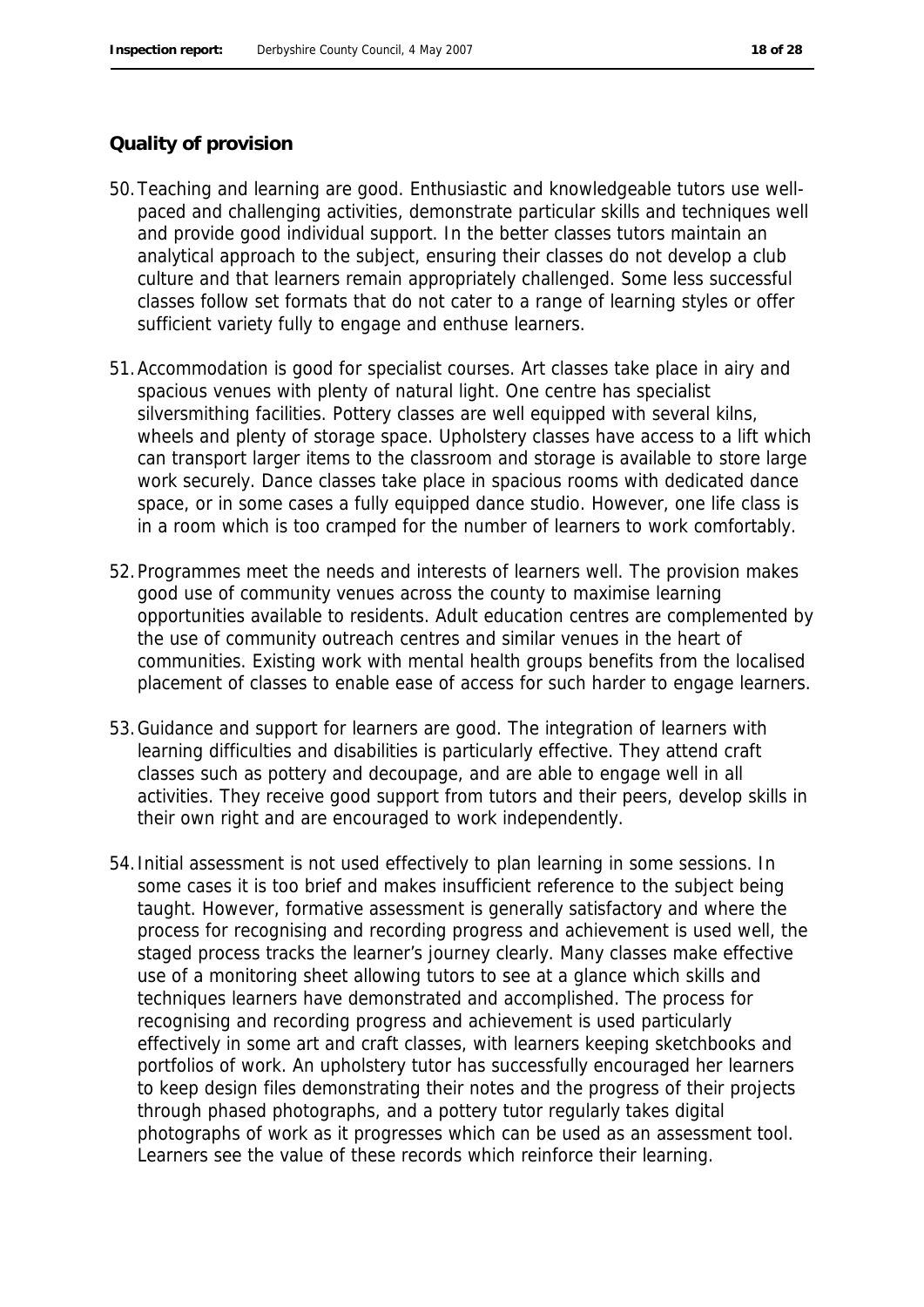#### **Quality of provision**

- 50.Teaching and learning are good. Enthusiastic and knowledgeable tutors use wellpaced and challenging activities, demonstrate particular skills and techniques well and provide good individual support. In the better classes tutors maintain an analytical approach to the subject, ensuring their classes do not develop a club culture and that learners remain appropriately challenged. Some less successful classes follow set formats that do not cater to a range of learning styles or offer sufficient variety fully to engage and enthuse learners.
- 51.Accommodation is good for specialist courses. Art classes take place in airy and spacious venues with plenty of natural light. One centre has specialist silversmithing facilities. Pottery classes are well equipped with several kilns, wheels and plenty of storage space. Upholstery classes have access to a lift which can transport larger items to the classroom and storage is available to store large work securely. Dance classes take place in spacious rooms with dedicated dance space, or in some cases a fully equipped dance studio. However, one life class is in a room which is too cramped for the number of learners to work comfortably.
- 52.Programmes meet the needs and interests of learners well. The provision makes good use of community venues across the county to maximise learning opportunities available to residents. Adult education centres are complemented by the use of community outreach centres and similar venues in the heart of communities. Existing work with mental health groups benefits from the localised placement of classes to enable ease of access for such harder to engage learners.
- 53.Guidance and support for learners are good. The integration of learners with learning difficulties and disabilities is particularly effective. They attend craft classes such as pottery and decoupage, and are able to engage well in all activities. They receive good support from tutors and their peers, develop skills in their own right and are encouraged to work independently.
- 54.Initial assessment is not used effectively to plan learning in some sessions. In some cases it is too brief and makes insufficient reference to the subject being taught. However, formative assessment is generally satisfactory and where the process for recognising and recording progress and achievement is used well, the staged process tracks the learner's journey clearly. Many classes make effective use of a monitoring sheet allowing tutors to see at a glance which skills and techniques learners have demonstrated and accomplished. The process for recognising and recording progress and achievement is used particularly effectively in some art and craft classes, with learners keeping sketchbooks and portfolios of work. An upholstery tutor has successfully encouraged her learners to keep design files demonstrating their notes and the progress of their projects through phased photographs, and a pottery tutor regularly takes digital photographs of work as it progresses which can be used as an assessment tool. Learners see the value of these records which reinforce their learning.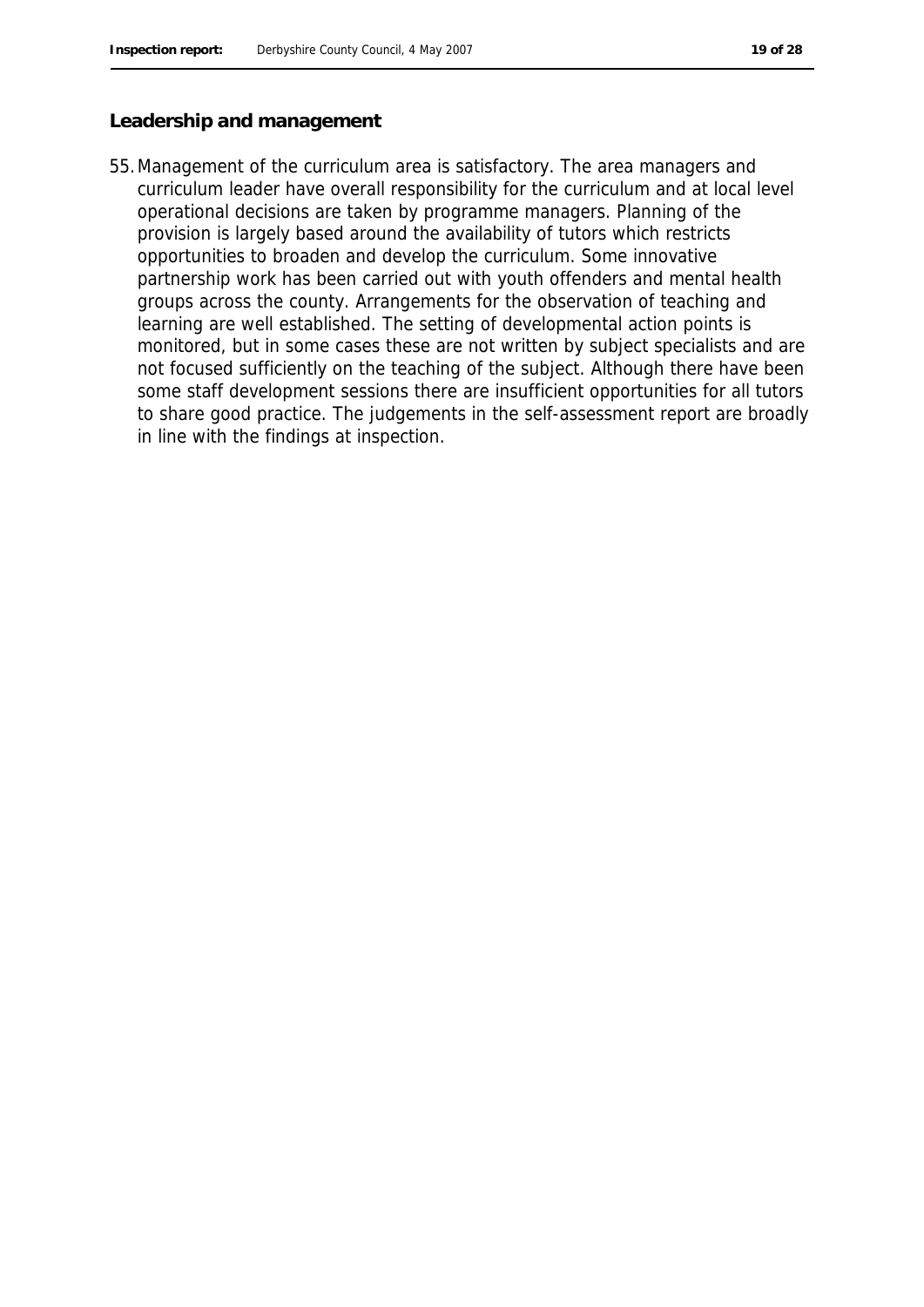#### **Leadership and management**

55.Management of the curriculum area is satisfactory. The area managers and curriculum leader have overall responsibility for the curriculum and at local level operational decisions are taken by programme managers. Planning of the provision is largely based around the availability of tutors which restricts opportunities to broaden and develop the curriculum. Some innovative partnership work has been carried out with youth offenders and mental health groups across the county. Arrangements for the observation of teaching and learning are well established. The setting of developmental action points is monitored, but in some cases these are not written by subject specialists and are not focused sufficiently on the teaching of the subject. Although there have been some staff development sessions there are insufficient opportunities for all tutors to share good practice. The judgements in the self-assessment report are broadly in line with the findings at inspection.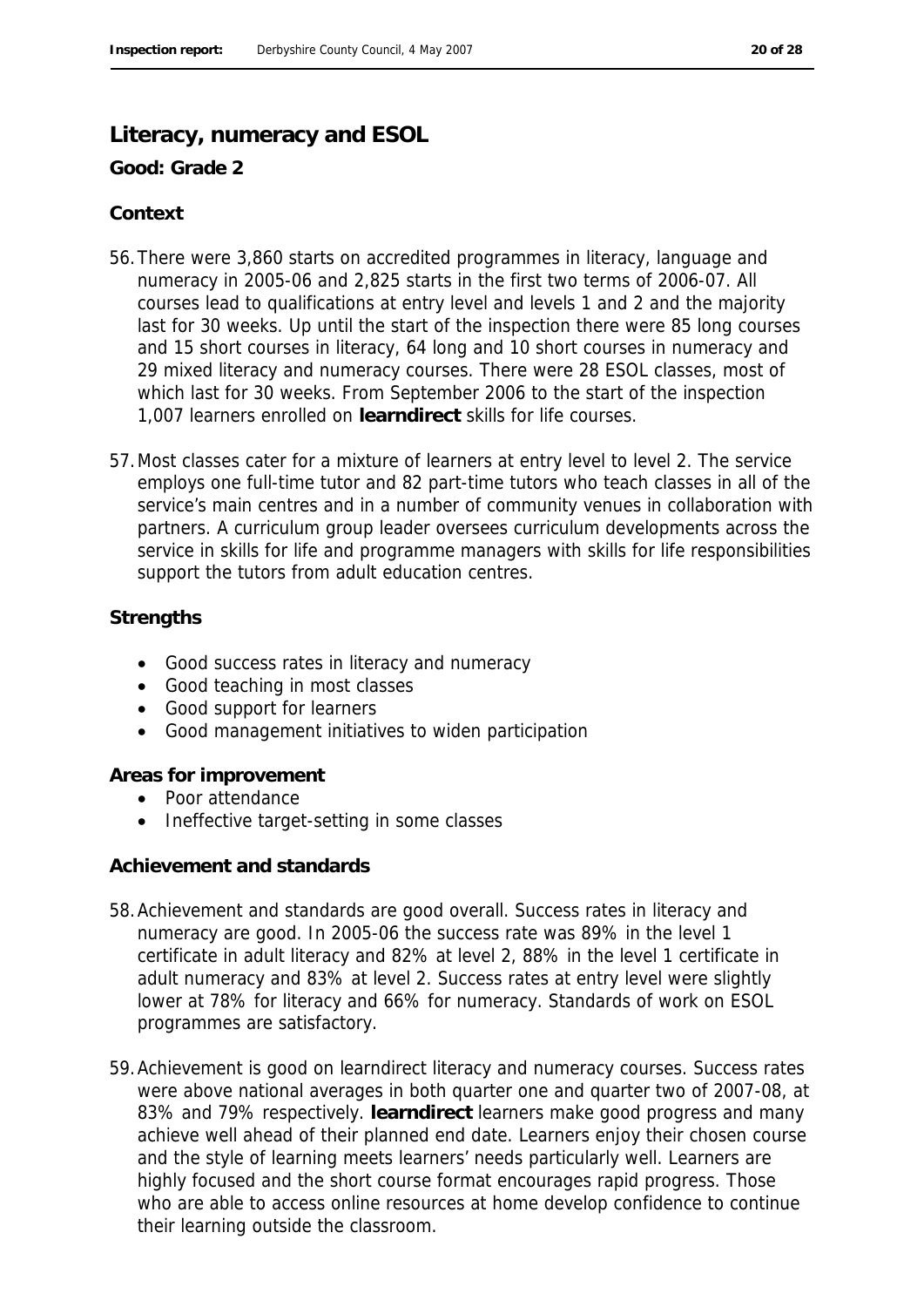#### **Literacy, numeracy and ESOL**

**Good: Grade 2**

#### **Context**

- 56.There were 3,860 starts on accredited programmes in literacy, language and numeracy in 2005-06 and 2,825 starts in the first two terms of 2006-07. All courses lead to qualifications at entry level and levels 1 and 2 and the majority last for 30 weeks. Up until the start of the inspection there were 85 long courses and 15 short courses in literacy, 64 long and 10 short courses in numeracy and 29 mixed literacy and numeracy courses. There were 28 ESOL classes, most of which last for 30 weeks. From September 2006 to the start of the inspection 1,007 learners enrolled on **learndirect** skills for life courses.
- 57.Most classes cater for a mixture of learners at entry level to level 2. The service employs one full-time tutor and 82 part-time tutors who teach classes in all of the service's main centres and in a number of community venues in collaboration with partners. A curriculum group leader oversees curriculum developments across the service in skills for life and programme managers with skills for life responsibilities support the tutors from adult education centres.

#### **Strengths**

- Good success rates in literacy and numeracy
- Good teaching in most classes
- Good support for learners
- Good management initiatives to widen participation

**Areas for improvement**

- Poor attendance
- Ineffective target-setting in some classes

**Achievement and standards**

- 58.Achievement and standards are good overall. Success rates in literacy and numeracy are good. In 2005-06 the success rate was 89% in the level 1 certificate in adult literacy and 82% at level 2, 88% in the level 1 certificate in adult numeracy and 83% at level 2. Success rates at entry level were slightly lower at 78% for literacy and 66% for numeracy. Standards of work on ESOL programmes are satisfactory.
- 59.Achievement is good on learndirect literacy and numeracy courses. Success rates were above national averages in both quarter one and quarter two of 2007-08, at 83% and 79% respectively. **learndirect** learners make good progress and many achieve well ahead of their planned end date. Learners enjoy their chosen course and the style of learning meets learners' needs particularly well. Learners are highly focused and the short course format encourages rapid progress. Those who are able to access online resources at home develop confidence to continue their learning outside the classroom.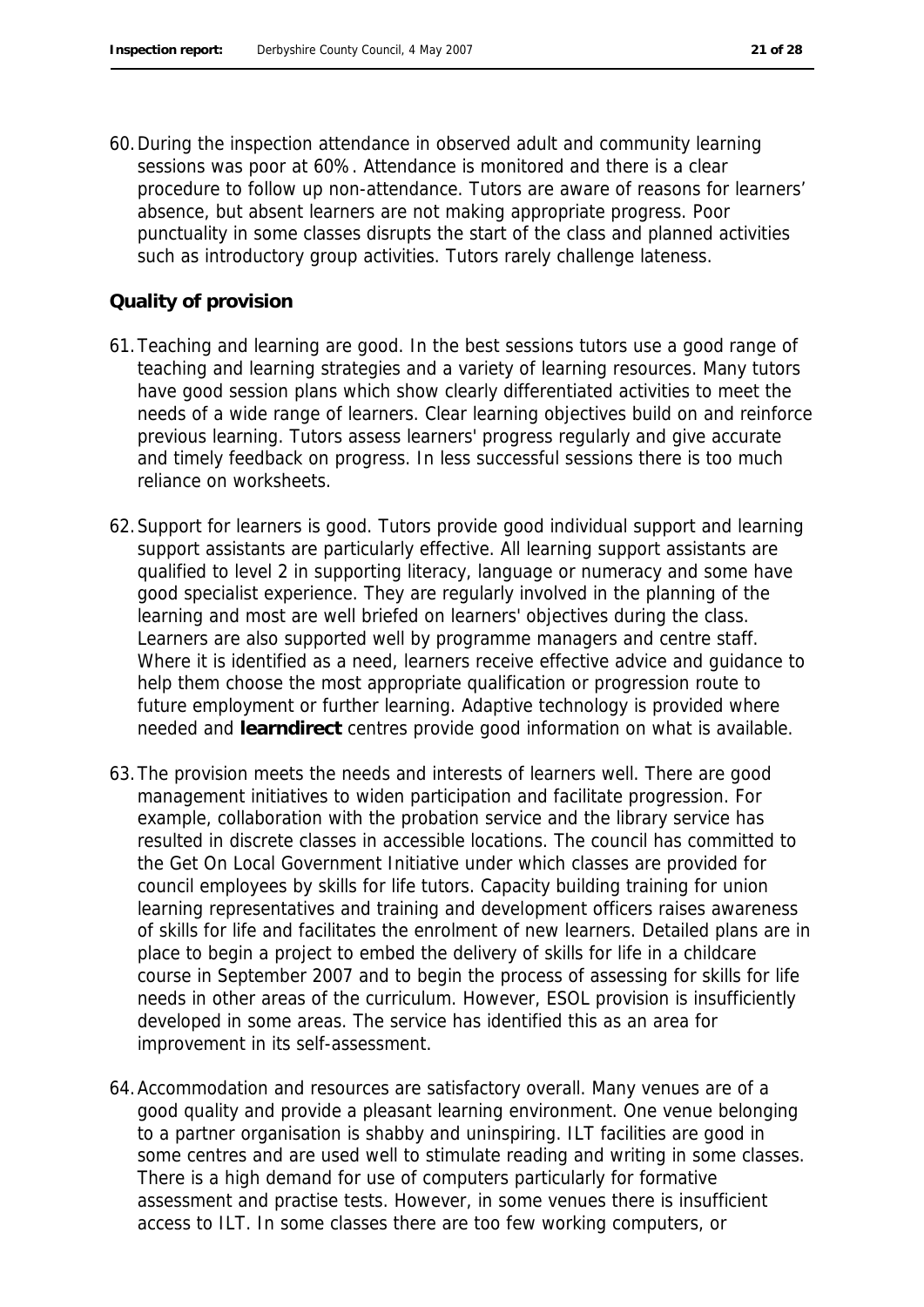60.During the inspection attendance in observed adult and community learning sessions was poor at 60%. Attendance is monitored and there is a clear procedure to follow up non-attendance. Tutors are aware of reasons for learners' absence, but absent learners are not making appropriate progress. Poor punctuality in some classes disrupts the start of the class and planned activities such as introductory group activities. Tutors rarely challenge lateness.

#### **Quality of provision**

- 61.Teaching and learning are good. In the best sessions tutors use a good range of teaching and learning strategies and a variety of learning resources. Many tutors have good session plans which show clearly differentiated activities to meet the needs of a wide range of learners. Clear learning objectives build on and reinforce previous learning. Tutors assess learners' progress regularly and give accurate and timely feedback on progress. In less successful sessions there is too much reliance on worksheets.
- 62.Support for learners is good. Tutors provide good individual support and learning support assistants are particularly effective. All learning support assistants are qualified to level 2 in supporting literacy, language or numeracy and some have good specialist experience. They are regularly involved in the planning of the learning and most are well briefed on learners' objectives during the class. Learners are also supported well by programme managers and centre staff. Where it is identified as a need, learners receive effective advice and guidance to help them choose the most appropriate qualification or progression route to future employment or further learning. Adaptive technology is provided where needed and **learndirect** centres provide good information on what is available.
- 63.The provision meets the needs and interests of learners well. There are good management initiatives to widen participation and facilitate progression. For example, collaboration with the probation service and the library service has resulted in discrete classes in accessible locations. The council has committed to the Get On Local Government Initiative under which classes are provided for council employees by skills for life tutors. Capacity building training for union learning representatives and training and development officers raises awareness of skills for life and facilitates the enrolment of new learners. Detailed plans are in place to begin a project to embed the delivery of skills for life in a childcare course in September 2007 and to begin the process of assessing for skills for life needs in other areas of the curriculum. However, ESOL provision is insufficiently developed in some areas. The service has identified this as an area for improvement in its self-assessment.
- 64.Accommodation and resources are satisfactory overall. Many venues are of a good quality and provide a pleasant learning environment. One venue belonging to a partner organisation is shabby and uninspiring. ILT facilities are good in some centres and are used well to stimulate reading and writing in some classes. There is a high demand for use of computers particularly for formative assessment and practise tests. However, in some venues there is insufficient access to ILT. In some classes there are too few working computers, or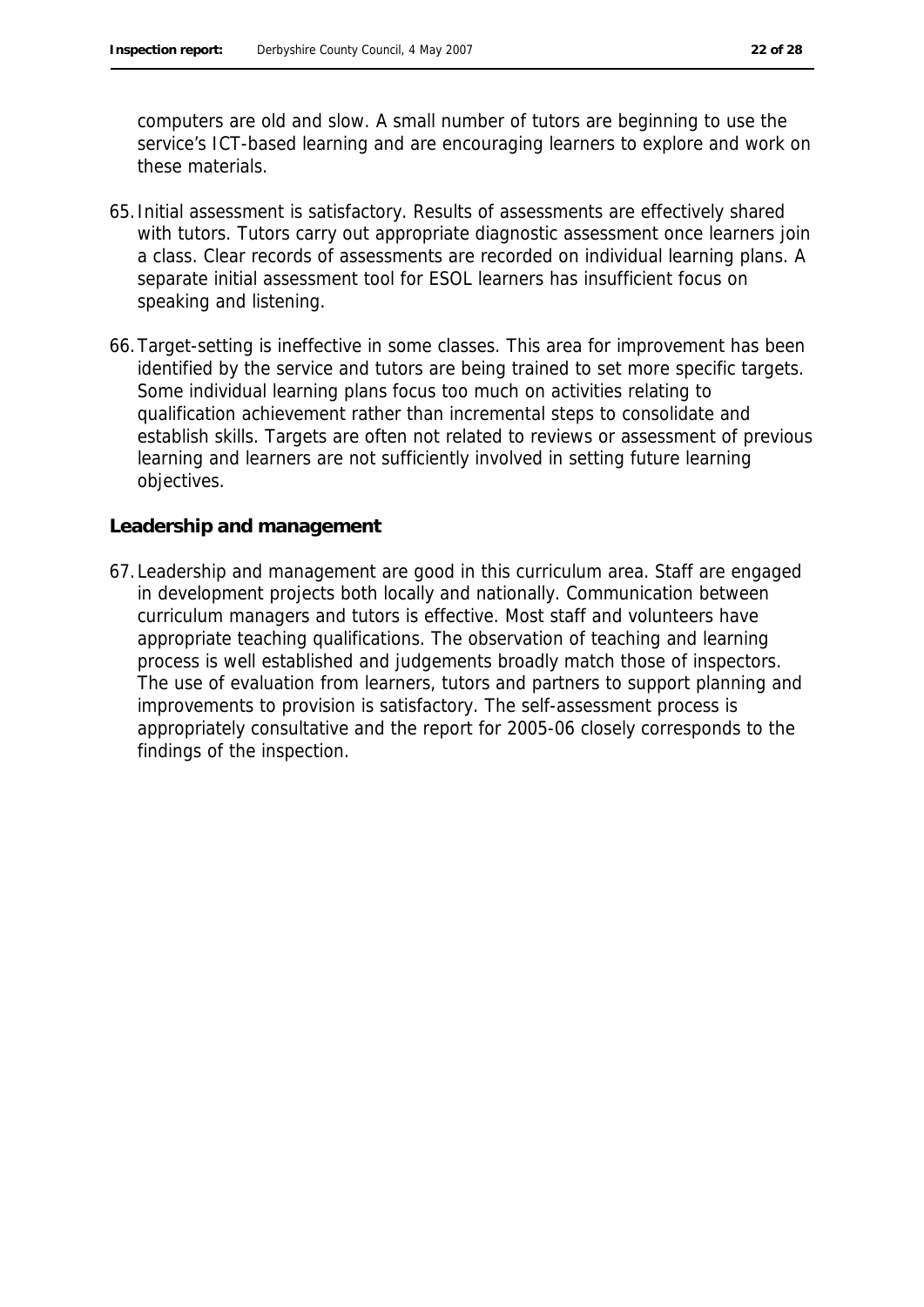these materials.

computers are old and slow. A small number of tutors are beginning to use the

65.Initial assessment is satisfactory. Results of assessments are effectively shared with tutors. Tutors carry out appropriate diagnostic assessment once learners join a class. Clear records of assessments are recorded on individual learning plans. A separate initial assessment tool for ESOL learners has insufficient focus on speaking and listening.

service's ICT-based learning and are encouraging learners to explore and work on

66.Target-setting is ineffective in some classes. This area for improvement has been identified by the service and tutors are being trained to set more specific targets. Some individual learning plans focus too much on activities relating to qualification achievement rather than incremental steps to consolidate and establish skills. Targets are often not related to reviews or assessment of previous learning and learners are not sufficiently involved in setting future learning objectives.

#### **Leadership and management**

67.Leadership and management are good in this curriculum area. Staff are engaged in development projects both locally and nationally. Communication between curriculum managers and tutors is effective. Most staff and volunteers have appropriate teaching qualifications. The observation of teaching and learning process is well established and judgements broadly match those of inspectors. The use of evaluation from learners, tutors and partners to support planning and improvements to provision is satisfactory. The self-assessment process is appropriately consultative and the report for 2005-06 closely corresponds to the findings of the inspection.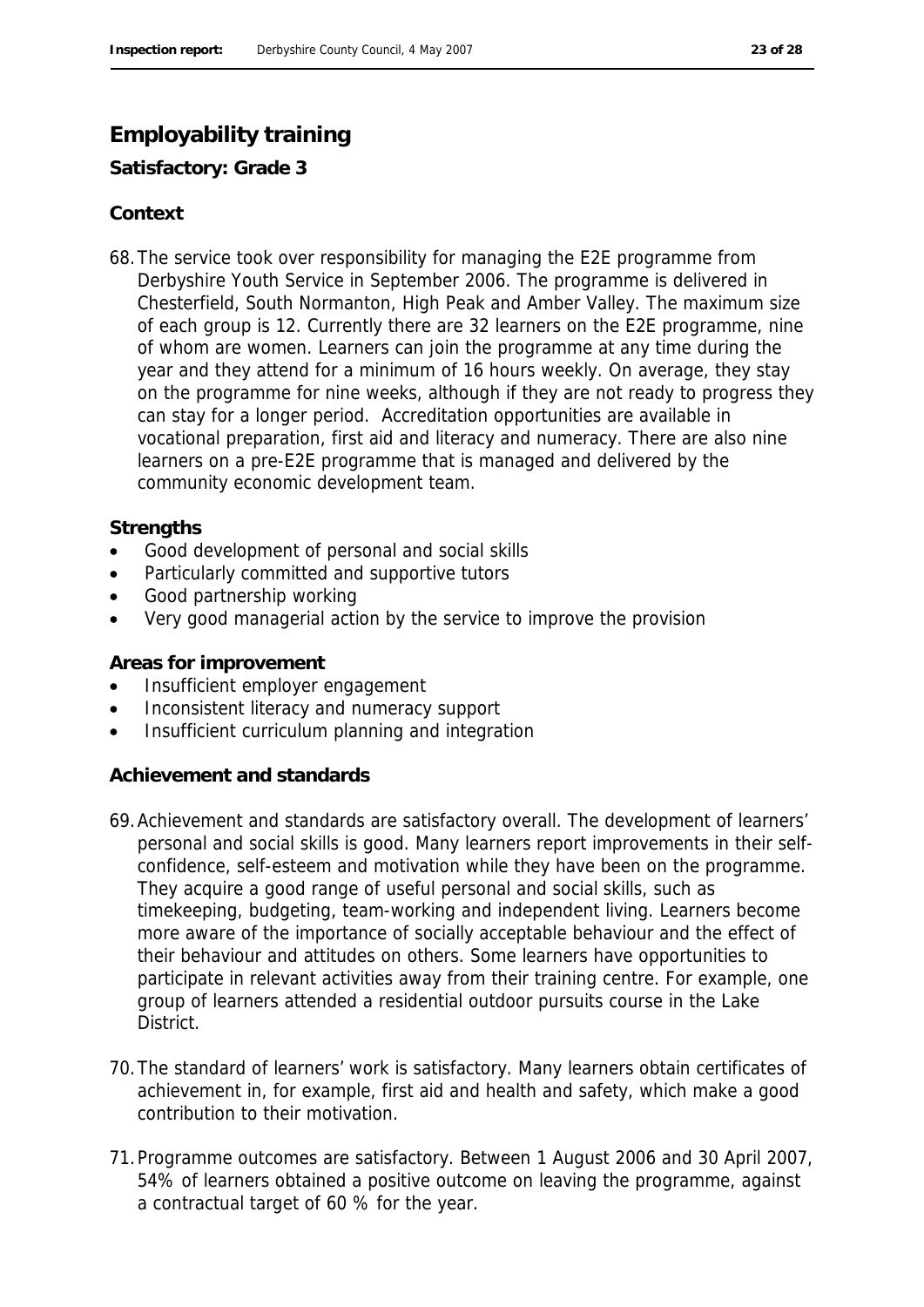# **Employability training**

**Satisfactory: Grade 3**

### **Context**

68.The service took over responsibility for managing the E2E programme from Derbyshire Youth Service in September 2006. The programme is delivered in Chesterfield, South Normanton, High Peak and Amber Valley. The maximum size of each group is 12. Currently there are 32 learners on the E2E programme, nine of whom are women. Learners can join the programme at any time during the year and they attend for a minimum of 16 hours weekly. On average, they stay on the programme for nine weeks, although if they are not ready to progress they can stay for a longer period. Accreditation opportunities are available in vocational preparation, first aid and literacy and numeracy. There are also nine learners on a pre-E2E programme that is managed and delivered by the community economic development team.

### **Strengths**

- Good development of personal and social skills
- Particularly committed and supportive tutors
- Good partnership working
- Very good managerial action by the service to improve the provision

**Areas for improvement**

- Insufficient employer engagement
- Inconsistent literacy and numeracy support
- Insufficient curriculum planning and integration

**Achievement and standards**

- 69.Achievement and standards are satisfactory overall. The development of learners' personal and social skills is good. Many learners report improvements in their selfconfidence, self-esteem and motivation while they have been on the programme. They acquire a good range of useful personal and social skills, such as timekeeping, budgeting, team-working and independent living. Learners become more aware of the importance of socially acceptable behaviour and the effect of their behaviour and attitudes on others. Some learners have opportunities to participate in relevant activities away from their training centre. For example, one group of learners attended a residential outdoor pursuits course in the Lake District.
- 70.The standard of learners' work is satisfactory. Many learners obtain certificates of achievement in, for example, first aid and health and safety, which make a good contribution to their motivation.
- 71.Programme outcomes are satisfactory. Between 1 August 2006 and 30 April 2007, 54% of learners obtained a positive outcome on leaving the programme, against a contractual target of 60 % for the year.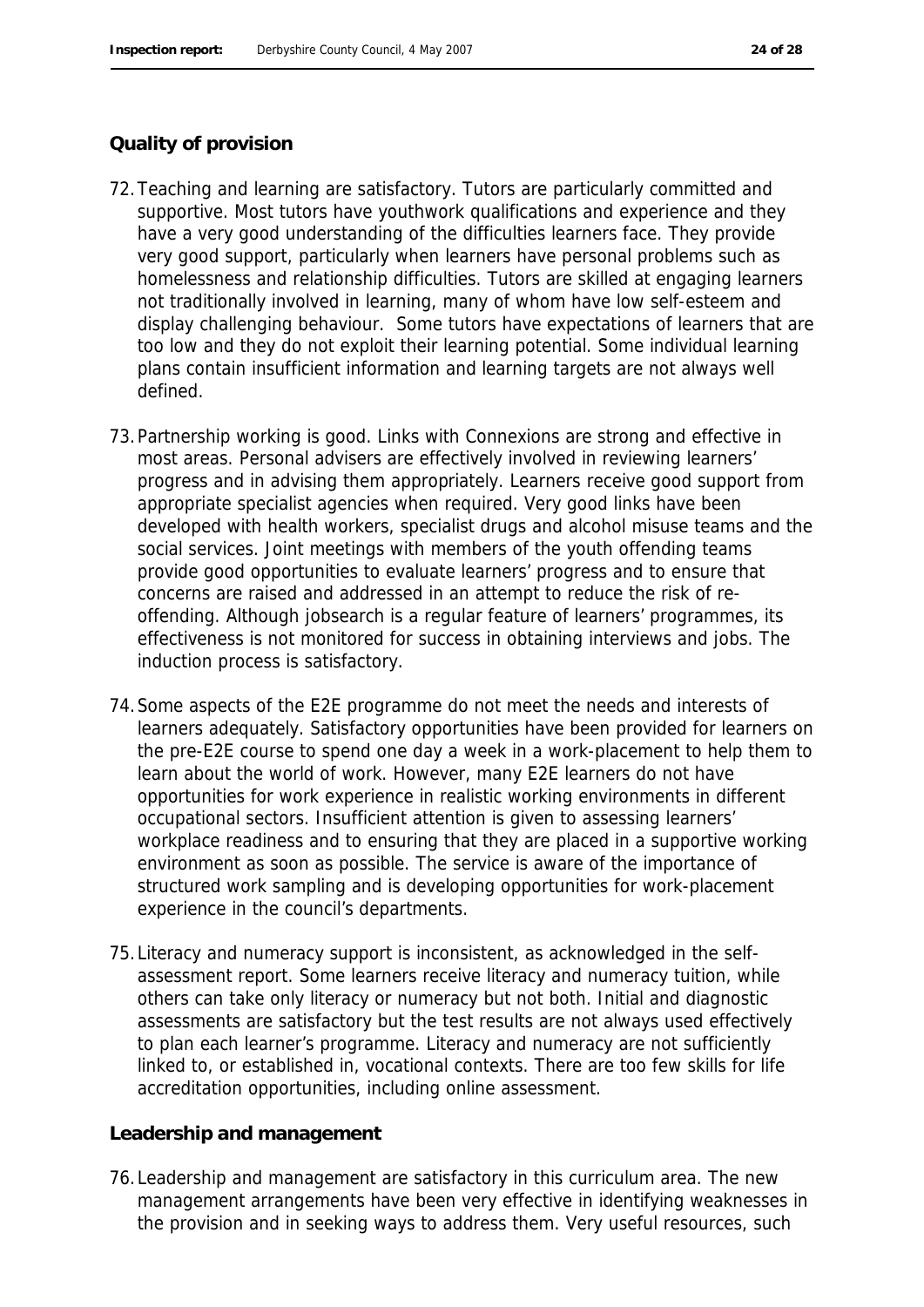#### **Quality of provision**

- 72.Teaching and learning are satisfactory. Tutors are particularly committed and supportive. Most tutors have youthwork qualifications and experience and they have a very good understanding of the difficulties learners face. They provide very good support, particularly when learners have personal problems such as homelessness and relationship difficulties. Tutors are skilled at engaging learners not traditionally involved in learning, many of whom have low self-esteem and display challenging behaviour. Some tutors have expectations of learners that are too low and they do not exploit their learning potential. Some individual learning plans contain insufficient information and learning targets are not always well defined.
- 73.Partnership working is good. Links with Connexions are strong and effective in most areas. Personal advisers are effectively involved in reviewing learners' progress and in advising them appropriately. Learners receive good support from appropriate specialist agencies when required. Very good links have been developed with health workers, specialist drugs and alcohol misuse teams and the social services. Joint meetings with members of the youth offending teams provide good opportunities to evaluate learners' progress and to ensure that concerns are raised and addressed in an attempt to reduce the risk of reoffending. Although jobsearch is a regular feature of learners' programmes, its effectiveness is not monitored for success in obtaining interviews and jobs. The induction process is satisfactory.
- 74.Some aspects of the E2E programme do not meet the needs and interests of learners adequately. Satisfactory opportunities have been provided for learners on the pre-E2E course to spend one day a week in a work-placement to help them to learn about the world of work. However, many E2E learners do not have opportunities for work experience in realistic working environments in different occupational sectors. Insufficient attention is given to assessing learners' workplace readiness and to ensuring that they are placed in a supportive working environment as soon as possible. The service is aware of the importance of structured work sampling and is developing opportunities for work-placement experience in the council's departments.
- 75.Literacy and numeracy support is inconsistent, as acknowledged in the selfassessment report. Some learners receive literacy and numeracy tuition, while others can take only literacy or numeracy but not both. Initial and diagnostic assessments are satisfactory but the test results are not always used effectively to plan each learner's programme. Literacy and numeracy are not sufficiently linked to, or established in, vocational contexts. There are too few skills for life accreditation opportunities, including online assessment.

#### **Leadership and management**

76.Leadership and management are satisfactory in this curriculum area. The new management arrangements have been very effective in identifying weaknesses in the provision and in seeking ways to address them. Very useful resources, such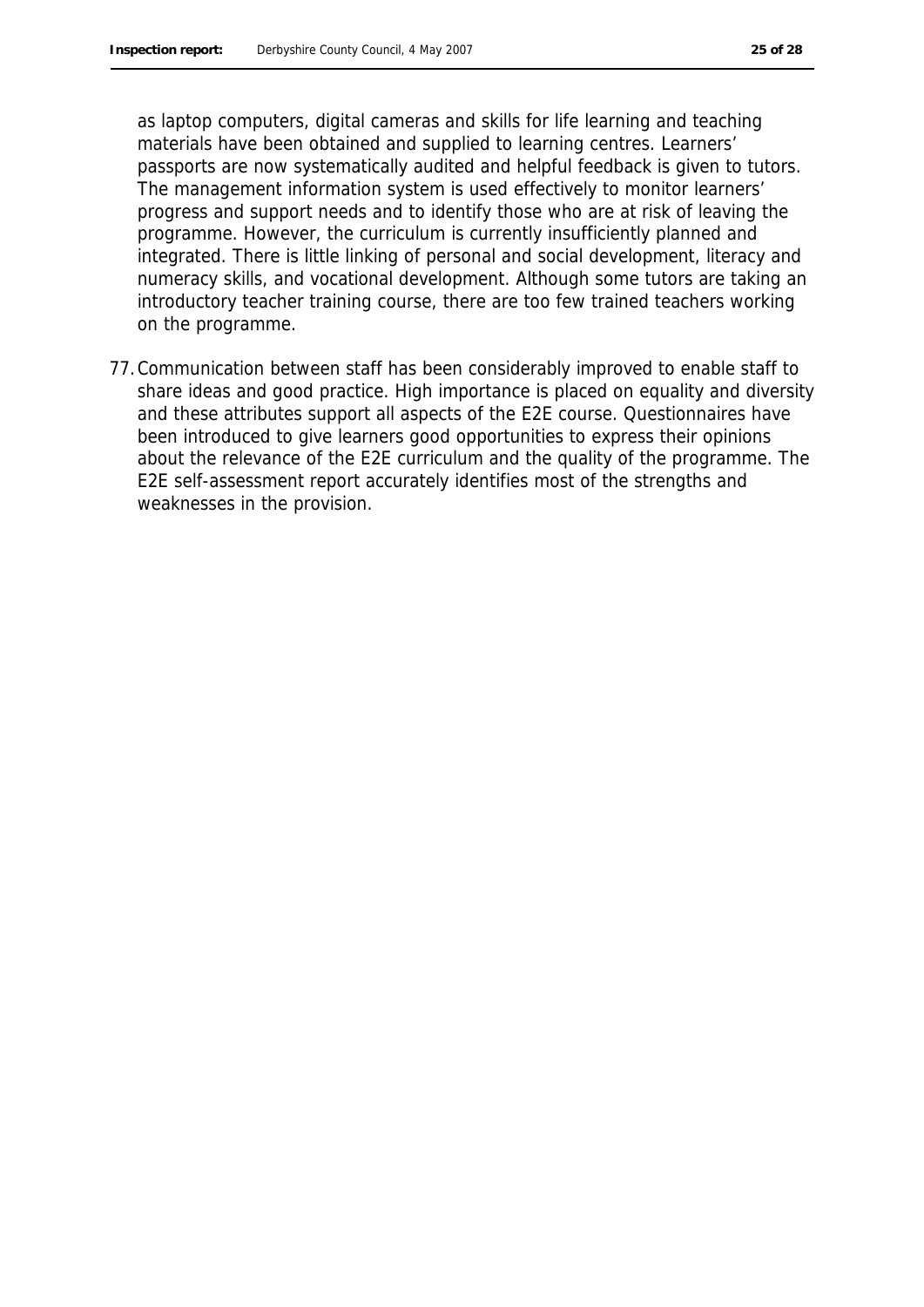as laptop computers, digital cameras and skills for life learning and teaching materials have been obtained and supplied to learning centres. Learners' passports are now systematically audited and helpful feedback is given to tutors. The management information system is used effectively to monitor learners' progress and support needs and to identify those who are at risk of leaving the programme. However, the curriculum is currently insufficiently planned and integrated. There is little linking of personal and social development, literacy and numeracy skills, and vocational development. Although some tutors are taking an introductory teacher training course, there are too few trained teachers working on the programme.

77.Communication between staff has been considerably improved to enable staff to share ideas and good practice. High importance is placed on equality and diversity and these attributes support all aspects of the E2E course. Questionnaires have been introduced to give learners good opportunities to express their opinions about the relevance of the E2E curriculum and the quality of the programme. The E2E self-assessment report accurately identifies most of the strengths and weaknesses in the provision.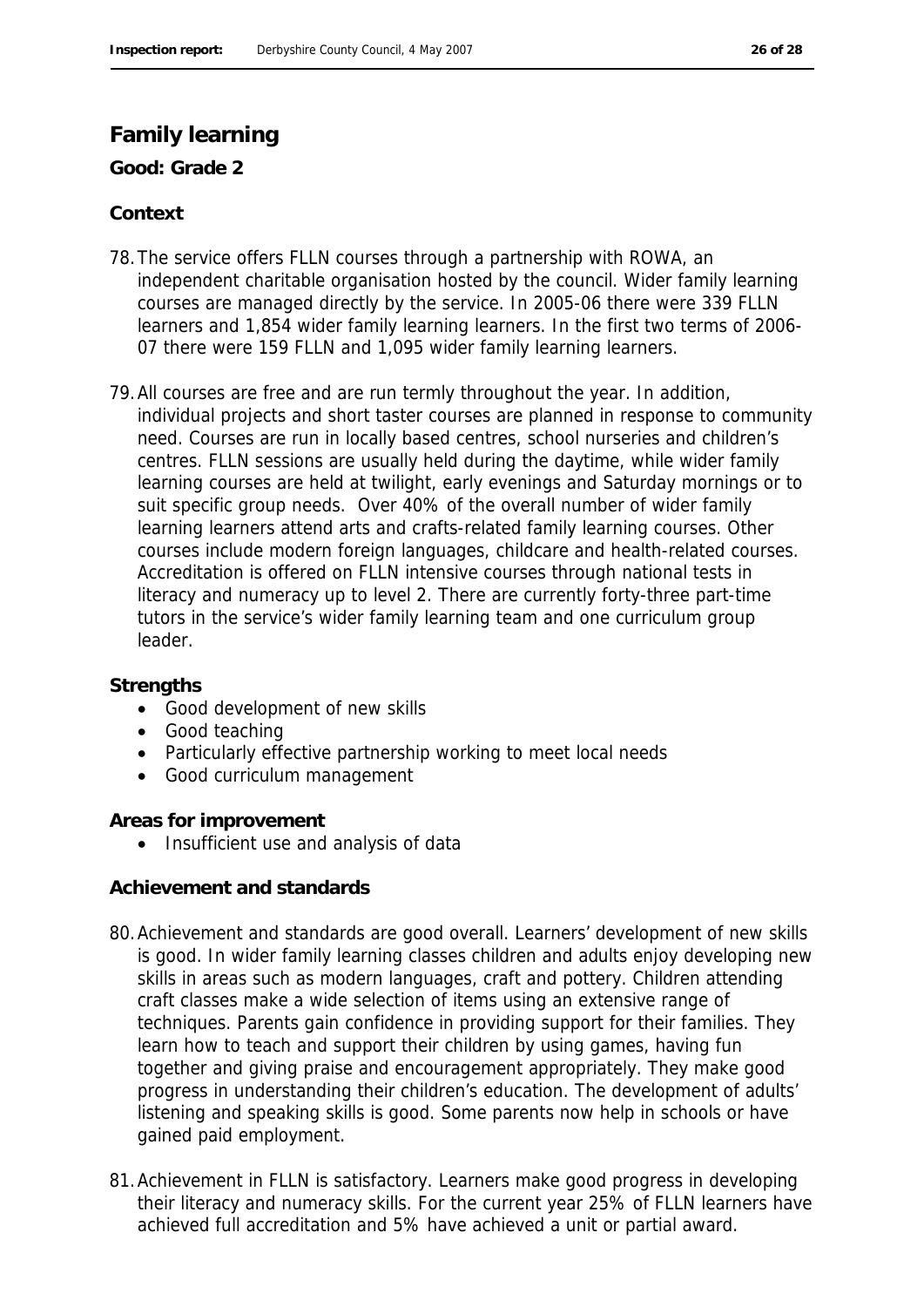## **Family learning**

**Good: Grade 2**

### **Context**

- 78.The service offers FLLN courses through a partnership with ROWA, an independent charitable organisation hosted by the council. Wider family learning courses are managed directly by the service. In 2005-06 there were 339 FLLN learners and 1,854 wider family learning learners. In the first two terms of 2006- 07 there were 159 FLLN and 1,095 wider family learning learners.
- 79.All courses are free and are run termly throughout the year. In addition, individual projects and short taster courses are planned in response to community need. Courses are run in locally based centres, school nurseries and children's centres. FLLN sessions are usually held during the daytime, while wider family learning courses are held at twilight, early evenings and Saturday mornings or to suit specific group needs. Over 40% of the overall number of wider family learning learners attend arts and crafts-related family learning courses. Other courses include modern foreign languages, childcare and health-related courses. Accreditation is offered on FLLN intensive courses through national tests in literacy and numeracy up to level 2. There are currently forty-three part-time tutors in the service's wider family learning team and one curriculum group leader.

**Strengths**

- Good development of new skills
- Good teaching
- Particularly effective partnership working to meet local needs
- Good curriculum management

**Areas for improvement**

• Insufficient use and analysis of data

**Achievement and standards**

- 80.Achievement and standards are good overall. Learners' development of new skills is good. In wider family learning classes children and adults enjoy developing new skills in areas such as modern languages, craft and pottery. Children attending craft classes make a wide selection of items using an extensive range of techniques. Parents gain confidence in providing support for their families. They learn how to teach and support their children by using games, having fun together and giving praise and encouragement appropriately. They make good progress in understanding their children's education. The development of adults' listening and speaking skills is good. Some parents now help in schools or have gained paid employment.
- 81.Achievement in FLLN is satisfactory. Learners make good progress in developing their literacy and numeracy skills. For the current year 25% of FLLN learners have achieved full accreditation and 5% have achieved a unit or partial award.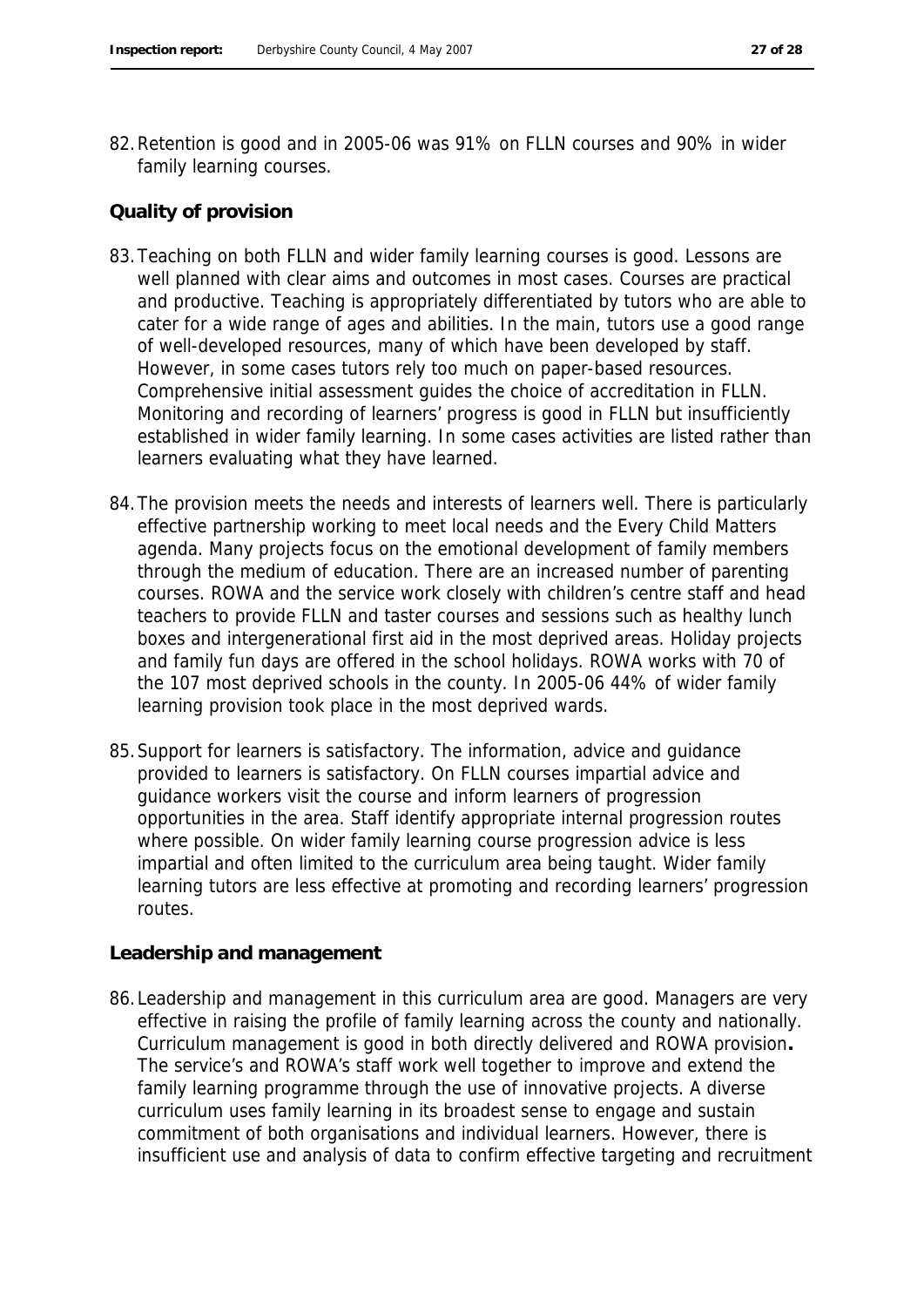82.Retention is good and in 2005-06 was 91% on FLLN courses and 90% in wider family learning courses.

#### **Quality of provision**

- 83.Teaching on both FLLN and wider family learning courses is good. Lessons are well planned with clear aims and outcomes in most cases. Courses are practical and productive. Teaching is appropriately differentiated by tutors who are able to cater for a wide range of ages and abilities. In the main, tutors use a good range of well-developed resources, many of which have been developed by staff. However, in some cases tutors rely too much on paper-based resources. Comprehensive initial assessment guides the choice of accreditation in FLLN. Monitoring and recording of learners' progress is good in FLLN but insufficiently established in wider family learning. In some cases activities are listed rather than learners evaluating what they have learned.
- 84.The provision meets the needs and interests of learners well. There is particularly effective partnership working to meet local needs and the Every Child Matters agenda. Many projects focus on the emotional development of family members through the medium of education. There are an increased number of parenting courses. ROWA and the service work closely with children's centre staff and head teachers to provide FLLN and taster courses and sessions such as healthy lunch boxes and intergenerational first aid in the most deprived areas. Holiday projects and family fun days are offered in the school holidays. ROWA works with 70 of the 107 most deprived schools in the county. In 2005-06 44% of wider family learning provision took place in the most deprived wards.
- 85.Support for learners is satisfactory. The information, advice and guidance provided to learners is satisfactory. On FLLN courses impartial advice and guidance workers visit the course and inform learners of progression opportunities in the area. Staff identify appropriate internal progression routes where possible. On wider family learning course progression advice is less impartial and often limited to the curriculum area being taught. Wider family learning tutors are less effective at promoting and recording learners' progression routes.

#### **Leadership and management**

86.Leadership and management in this curriculum area are good. Managers are very effective in raising the profile of family learning across the county and nationally. Curriculum management is good in both directly delivered and ROWA provision**.**  The service's and ROWA's staff work well together to improve and extend the family learning programme through the use of innovative projects. A diverse curriculum uses family learning in its broadest sense to engage and sustain commitment of both organisations and individual learners. However, there is insufficient use and analysis of data to confirm effective targeting and recruitment